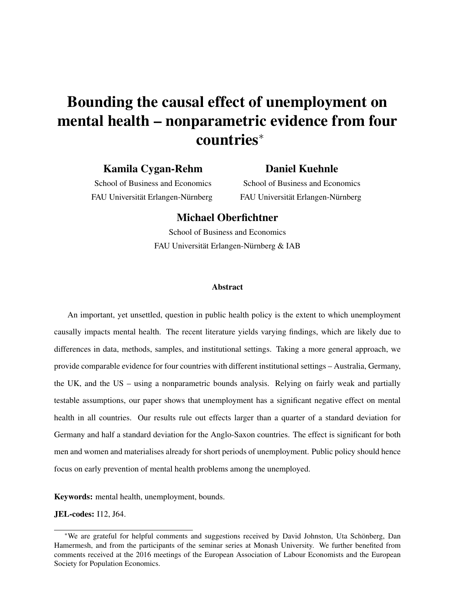# Bounding the causal effect of unemployment on mental health – nonparametric evidence from four countries<sup>∗</sup>

Kamila Cygan-Rehm School of Business and Economics Daniel Kuehnle

FAU Universität Erlangen-Nürnberg

School of Business and Economics FAU Universität Erlangen-Nürnberg

# Michael Oberfichtner

School of Business and Economics FAU Universität Erlangen-Nürnberg & IAB

#### Abstract

An important, yet unsettled, question in public health policy is the extent to which unemployment causally impacts mental health. The recent literature yields varying findings, which are likely due to differences in data, methods, samples, and institutional settings. Taking a more general approach, we provide comparable evidence for four countries with different institutional settings – Australia, Germany, the UK, and the US – using a nonparametric bounds analysis. Relying on fairly weak and partially testable assumptions, our paper shows that unemployment has a significant negative effect on mental health in all countries. Our results rule out effects larger than a quarter of a standard deviation for Germany and half a standard deviation for the Anglo-Saxon countries. The effect is significant for both men and women and materialises already for short periods of unemployment. Public policy should hence focus on early prevention of mental health problems among the unemployed.

Keywords: mental health, unemployment, bounds.

JEL-codes: I12, J64.

<sup>∗</sup>We are grateful for helpful comments and suggestions received by David Johnston, Uta Schönberg, Dan Hamermesh, and from the participants of the seminar series at Monash University. We further benefited from comments received at the 2016 meetings of the European Association of Labour Economists and the European Society for Population Economics.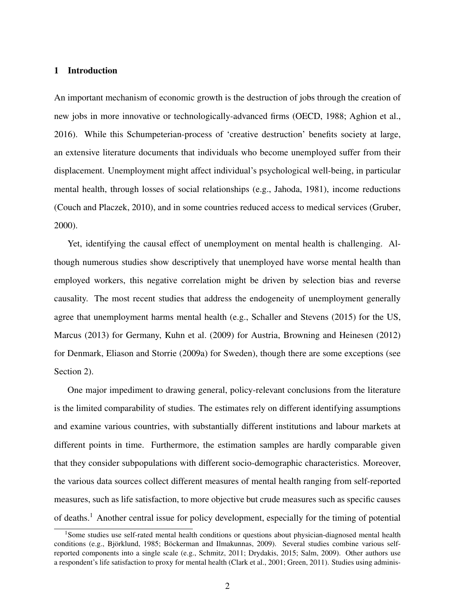#### 1 Introduction

An important mechanism of economic growth is the destruction of jobs through the creation of new jobs in more innovative or technologically-advanced firms (OECD, 1988; Aghion et al., 2016). While this Schumpeterian-process of 'creative destruction' benefits society at large, an extensive literature documents that individuals who become unemployed suffer from their displacement. Unemployment might affect individual's psychological well-being, in particular mental health, through losses of social relationships (e.g., Jahoda, 1981), income reductions (Couch and Placzek, 2010), and in some countries reduced access to medical services (Gruber, 2000).

Yet, identifying the causal effect of unemployment on mental health is challenging. Although numerous studies show descriptively that unemployed have worse mental health than employed workers, this negative correlation might be driven by selection bias and reverse causality. The most recent studies that address the endogeneity of unemployment generally agree that unemployment harms mental health (e.g., Schaller and Stevens (2015) for the US, Marcus (2013) for Germany, Kuhn et al. (2009) for Austria, Browning and Heinesen (2012) for Denmark, Eliason and Storrie (2009a) for Sweden), though there are some exceptions (see Section 2).

One major impediment to drawing general, policy-relevant conclusions from the literature is the limited comparability of studies. The estimates rely on different identifying assumptions and examine various countries, with substantially different institutions and labour markets at different points in time. Furthermore, the estimation samples are hardly comparable given that they consider subpopulations with different socio-demographic characteristics. Moreover, the various data sources collect different measures of mental health ranging from self-reported measures, such as life satisfaction, to more objective but crude measures such as specific causes of deaths.<sup>1</sup> Another central issue for policy development, especially for the timing of potential

<sup>&</sup>lt;sup>1</sup>Some studies use self-rated mental health conditions or questions about physician-diagnosed mental health conditions (e.g., Björklund, 1985; Böckerman and Ilmakunnas, 2009). Several studies combine various selfreported components into a single scale (e.g., Schmitz, 2011; Drydakis, 2015; Salm, 2009). Other authors use a respondent's life satisfaction to proxy for mental health (Clark et al., 2001; Green, 2011). Studies using adminis-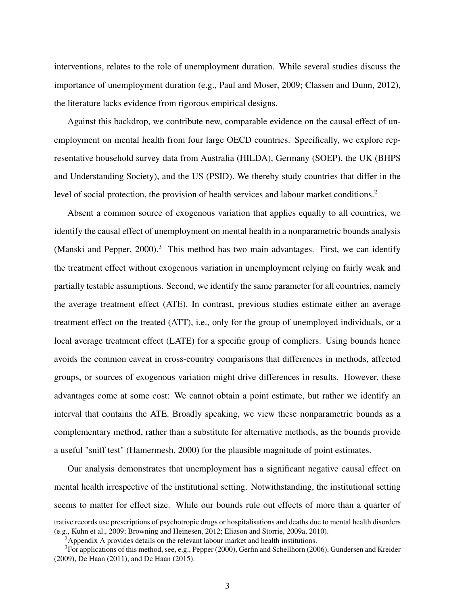interventions, relates to the role of unemployment duration. While several studies discuss the importance of unemployment duration (e.g., Paul and Moser, 2009; Classen and Dunn, 2012), the literature lacks evidence from rigorous empirical designs.

Against this backdrop, we contribute new, comparable evidence on the causal effect of unemployment on mental health from four large OECD countries. Specifically, we explore representative household survey data from Australia (HILDA), Germany (SOEP), the UK (BHPS and Understanding Society), and the US (PSID). We thereby study countries that differ in the level of social protection, the provision of health services and labour market conditions.<sup>2</sup>

Absent a common source of exogenous variation that applies equally to all countries, we identify the causal effect of unemployment on mental health in a nonparametric bounds analysis (Manski and Pepper,  $2000$ ).<sup>3</sup> This method has two main advantages. First, we can identify the treatment effect without exogenous variation in unemployment relying on fairly weak and partially testable assumptions. Second, we identify the same parameter for all countries, namely the average treatment effect (ATE). In contrast, previous studies estimate either an average treatment effect on the treated (ATT), i.e., only for the group of unemployed individuals, or a local average treatment effect (LATE) for a specific group of compliers. Using bounds hence avoids the common caveat in cross-country comparisons that differences in methods, affected groups, or sources of exogenous variation might drive differences in results. However, these advantages come at some cost: We cannot obtain a point estimate, but rather we identify an interval that contains the ATE. Broadly speaking, we view these nonparametric bounds as a complementary method, rather than a substitute for alternative methods, as the bounds provide a useful "sniff test" (Hamermesh, 2000) for the plausible magnitude of point estimates.

Our analysis demonstrates that unemployment has a significant negative causal effect on mental health irrespective of the institutional setting. Notwithstanding, the institutional setting seems to matter for effect size. While our bounds rule out effects of more than a quarter of

trative records use prescriptions of psychotropic drugs or hospitalisations and deaths due to mental health disorders (e.g., Kuhn et al., 2009; Browning and Heinesen, 2012; Eliason and Storrie, 2009a, 2010).

<sup>&</sup>lt;sup>2</sup>Appendix A provides details on the relevant labour market and health institutions.

<sup>&</sup>lt;sup>3</sup>For applications of this method, see, e.g., Pepper (2000), Gerfin and Schellhorn (2006), Gundersen and Kreider (2009), De Haan (2011), and De Haan (2015).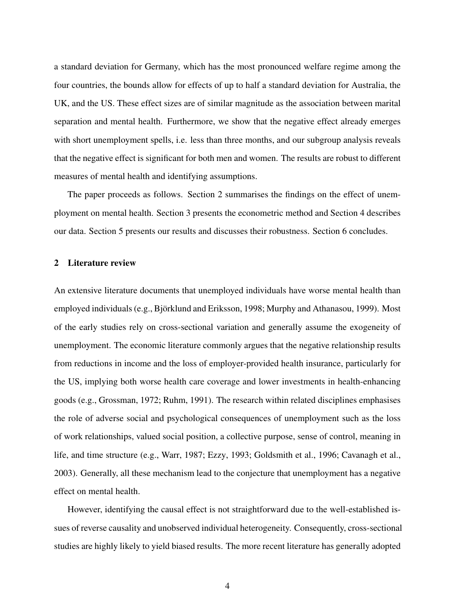a standard deviation for Germany, which has the most pronounced welfare regime among the four countries, the bounds allow for effects of up to half a standard deviation for Australia, the UK, and the US. These effect sizes are of similar magnitude as the association between marital separation and mental health. Furthermore, we show that the negative effect already emerges with short unemployment spells, i.e. less than three months, and our subgroup analysis reveals that the negative effect is significant for both men and women. The results are robust to different measures of mental health and identifying assumptions.

The paper proceeds as follows. Section 2 summarises the findings on the effect of unemployment on mental health. Section 3 presents the econometric method and Section 4 describes our data. Section 5 presents our results and discusses their robustness. Section 6 concludes.

#### 2 Literature review

An extensive literature documents that unemployed individuals have worse mental health than employed individuals (e.g., Björklund and Eriksson, 1998; Murphy and Athanasou, 1999). Most of the early studies rely on cross-sectional variation and generally assume the exogeneity of unemployment. The economic literature commonly argues that the negative relationship results from reductions in income and the loss of employer-provided health insurance, particularly for the US, implying both worse health care coverage and lower investments in health-enhancing goods (e.g., Grossman, 1972; Ruhm, 1991). The research within related disciplines emphasises the role of adverse social and psychological consequences of unemployment such as the loss of work relationships, valued social position, a collective purpose, sense of control, meaning in life, and time structure (e.g., Warr, 1987; Ezzy, 1993; Goldsmith et al., 1996; Cavanagh et al., 2003). Generally, all these mechanism lead to the conjecture that unemployment has a negative effect on mental health.

However, identifying the causal effect is not straightforward due to the well-established issues of reverse causality and unobserved individual heterogeneity. Consequently, cross-sectional studies are highly likely to yield biased results. The more recent literature has generally adopted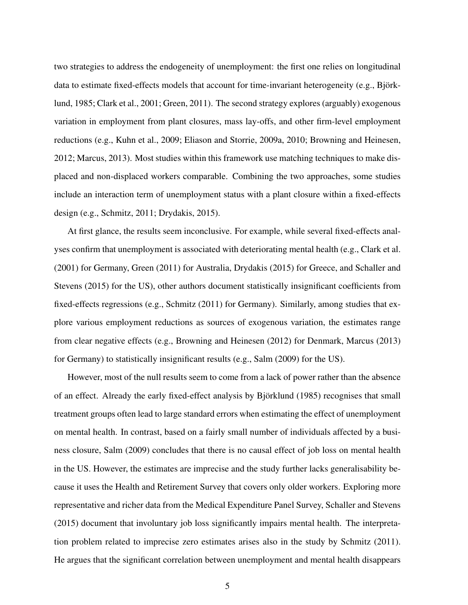two strategies to address the endogeneity of unemployment: the first one relies on longitudinal data to estimate fixed-effects models that account for time-invariant heterogeneity (e.g., Björklund, 1985; Clark et al., 2001; Green, 2011). The second strategy explores (arguably) exogenous variation in employment from plant closures, mass lay-offs, and other firm-level employment reductions (e.g., Kuhn et al., 2009; Eliason and Storrie, 2009a, 2010; Browning and Heinesen, 2012; Marcus, 2013). Most studies within this framework use matching techniques to make displaced and non-displaced workers comparable. Combining the two approaches, some studies include an interaction term of unemployment status with a plant closure within a fixed-effects design (e.g., Schmitz, 2011; Drydakis, 2015).

At first glance, the results seem inconclusive. For example, while several fixed-effects analyses confirm that unemployment is associated with deteriorating mental health (e.g., Clark et al. (2001) for Germany, Green (2011) for Australia, Drydakis (2015) for Greece, and Schaller and Stevens (2015) for the US), other authors document statistically insignificant coefficients from fixed-effects regressions (e.g., Schmitz (2011) for Germany). Similarly, among studies that explore various employment reductions as sources of exogenous variation, the estimates range from clear negative effects (e.g., Browning and Heinesen (2012) for Denmark, Marcus (2013) for Germany) to statistically insignificant results (e.g., Salm (2009) for the US).

However, most of the null results seem to come from a lack of power rather than the absence of an effect. Already the early fixed-effect analysis by Björklund (1985) recognises that small treatment groups often lead to large standard errors when estimating the effect of unemployment on mental health. In contrast, based on a fairly small number of individuals affected by a business closure, Salm (2009) concludes that there is no causal effect of job loss on mental health in the US. However, the estimates are imprecise and the study further lacks generalisability because it uses the Health and Retirement Survey that covers only older workers. Exploring more representative and richer data from the Medical Expenditure Panel Survey, Schaller and Stevens (2015) document that involuntary job loss significantly impairs mental health. The interpretation problem related to imprecise zero estimates arises also in the study by Schmitz (2011). He argues that the significant correlation between unemployment and mental health disappears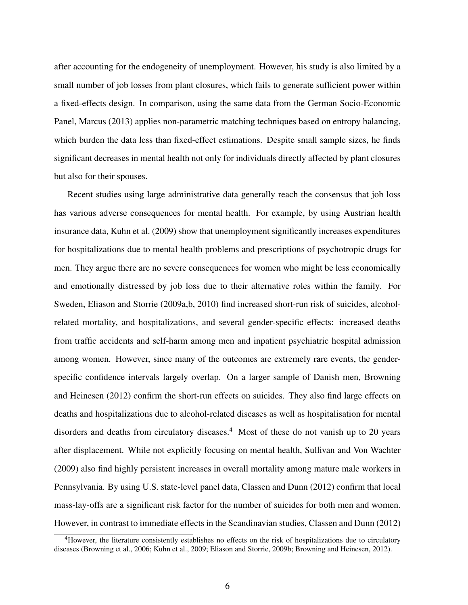after accounting for the endogeneity of unemployment. However, his study is also limited by a small number of job losses from plant closures, which fails to generate sufficient power within a fixed-effects design. In comparison, using the same data from the German Socio-Economic Panel, Marcus (2013) applies non-parametric matching techniques based on entropy balancing, which burden the data less than fixed-effect estimations. Despite small sample sizes, he finds significant decreases in mental health not only for individuals directly affected by plant closures but also for their spouses.

Recent studies using large administrative data generally reach the consensus that job loss has various adverse consequences for mental health. For example, by using Austrian health insurance data, Kuhn et al. (2009) show that unemployment significantly increases expenditures for hospitalizations due to mental health problems and prescriptions of psychotropic drugs for men. They argue there are no severe consequences for women who might be less economically and emotionally distressed by job loss due to their alternative roles within the family. For Sweden, Eliason and Storrie (2009a,b, 2010) find increased short-run risk of suicides, alcoholrelated mortality, and hospitalizations, and several gender-specific effects: increased deaths from traffic accidents and self-harm among men and inpatient psychiatric hospital admission among women. However, since many of the outcomes are extremely rare events, the genderspecific confidence intervals largely overlap. On a larger sample of Danish men, Browning and Heinesen (2012) confirm the short-run effects on suicides. They also find large effects on deaths and hospitalizations due to alcohol-related diseases as well as hospitalisation for mental disorders and deaths from circulatory diseases.<sup>4</sup> Most of these do not vanish up to 20 years after displacement. While not explicitly focusing on mental health, Sullivan and Von Wachter (2009) also find highly persistent increases in overall mortality among mature male workers in Pennsylvania. By using U.S. state-level panel data, Classen and Dunn (2012) confirm that local mass-lay-offs are a significant risk factor for the number of suicides for both men and women. However, in contrast to immediate effects in the Scandinavian studies, Classen and Dunn (2012)

<sup>4</sup>However, the literature consistently establishes no effects on the risk of hospitalizations due to circulatory diseases (Browning et al., 2006; Kuhn et al., 2009; Eliason and Storrie, 2009b; Browning and Heinesen, 2012).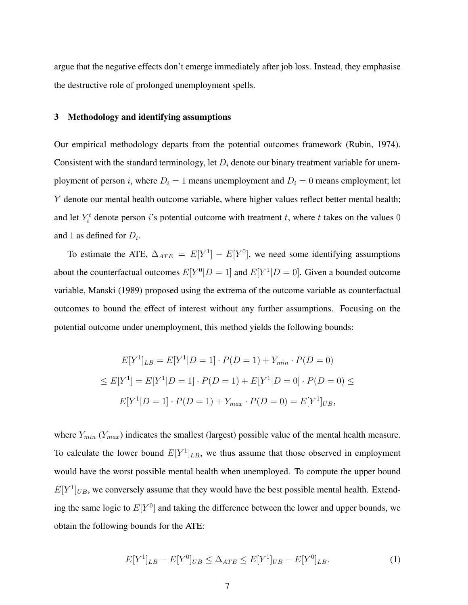argue that the negative effects don't emerge immediately after job loss. Instead, they emphasise the destructive role of prolonged unemployment spells.

## 3 Methodology and identifying assumptions

Our empirical methodology departs from the potential outcomes framework (Rubin, 1974). Consistent with the standard terminology, let  $D_i$  denote our binary treatment variable for unemployment of person i, where  $D_i = 1$  means unemployment and  $D_i = 0$  means employment; let Y denote our mental health outcome variable, where higher values reflect better mental health; and let  $Y_i^t$  denote person i's potential outcome with treatment t, where t takes on the values 0 and 1 as defined for  $D_i$ .

To estimate the ATE,  $\Delta_{ATE} = E[Y^1] - E[Y^0]$ , we need some identifying assumptions about the counterfactual outcomes  $E[Y^0|D=1]$  and  $E[Y^1|D=0]$ . Given a bounded outcome variable, Manski (1989) proposed using the extrema of the outcome variable as counterfactual outcomes to bound the effect of interest without any further assumptions. Focusing on the potential outcome under unemployment, this method yields the following bounds:

$$
E[Y^1]_{LB} = E[Y^1|D = 1] \cdot P(D = 1) + Y_{min} \cdot P(D = 0)
$$
  
\n
$$
\leq E[Y^1] = E[Y^1|D = 1] \cdot P(D = 1) + E[Y^1|D = 0] \cdot P(D = 0) \leq
$$
  
\n
$$
E[Y^1|D = 1] \cdot P(D = 1) + Y_{max} \cdot P(D = 0) = E[Y^1]_{UB},
$$

where  $Y_{min}$  ( $Y_{max}$ ) indicates the smallest (largest) possible value of the mental health measure. To calculate the lower bound  $E[Y^1]_{LB}$ , we thus assume that those observed in employment would have the worst possible mental health when unemployed. To compute the upper bound  $E[Y^1]_{UB}$ , we conversely assume that they would have the best possible mental health. Extending the same logic to  $E[Y^0]$  and taking the difference between the lower and upper bounds, we obtain the following bounds for the ATE:

$$
E[Y^1]_{LB} - E[Y^0]_{UB} \le \Delta_{ATE} \le E[Y^1]_{UB} - E[Y^0]_{LB}.\tag{1}
$$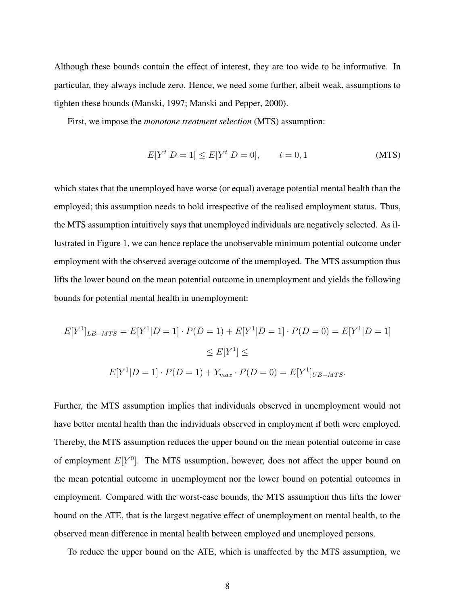Although these bounds contain the effect of interest, they are too wide to be informative. In particular, they always include zero. Hence, we need some further, albeit weak, assumptions to tighten these bounds (Manski, 1997; Manski and Pepper, 2000).

First, we impose the *monotone treatment selection* (MTS) assumption:

$$
E[Y^{t}|D=1] \le E[Y^{t}|D=0], \qquad t=0,1
$$
 (MTS)

which states that the unemployed have worse (or equal) average potential mental health than the employed; this assumption needs to hold irrespective of the realised employment status. Thus, the MTS assumption intuitively says that unemployed individuals are negatively selected. As illustrated in Figure 1, we can hence replace the unobservable minimum potential outcome under employment with the observed average outcome of the unemployed. The MTS assumption thus lifts the lower bound on the mean potential outcome in unemployment and yields the following bounds for potential mental health in unemployment:

$$
E[Y^1]_{LB-MTS} = E[Y^1|D=1] \cdot P(D=1) + E[Y^1|D=1] \cdot P(D=0) = E[Y^1|D=1]
$$
  
\n
$$
\leq E[Y^1] \leq
$$
  
\n
$$
E[Y^1|D=1] \cdot P(D=1) + Y_{max} \cdot P(D=0) = E[Y^1]_{UB-MTS}.
$$

Further, the MTS assumption implies that individuals observed in unemployment would not have better mental health than the individuals observed in employment if both were employed. Thereby, the MTS assumption reduces the upper bound on the mean potential outcome in case of employment  $E[Y^0]$ . The MTS assumption, however, does not affect the upper bound on the mean potential outcome in unemployment nor the lower bound on potential outcomes in employment. Compared with the worst-case bounds, the MTS assumption thus lifts the lower bound on the ATE, that is the largest negative effect of unemployment on mental health, to the observed mean difference in mental health between employed and unemployed persons.

To reduce the upper bound on the ATE, which is unaffected by the MTS assumption, we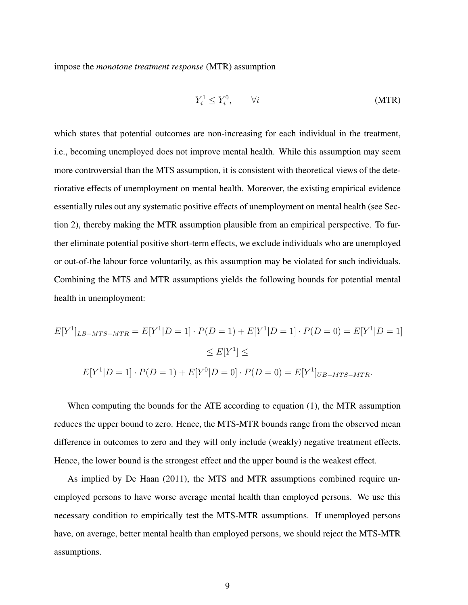impose the *monotone treatment response* (MTR) assumption

$$
Y_i^1 \le Y_i^0, \qquad \forall i \tag{MTR}
$$

which states that potential outcomes are non-increasing for each individual in the treatment, i.e., becoming unemployed does not improve mental health. While this assumption may seem more controversial than the MTS assumption, it is consistent with theoretical views of the deteriorative effects of unemployment on mental health. Moreover, the existing empirical evidence essentially rules out any systematic positive effects of unemployment on mental health (see Section 2), thereby making the MTR assumption plausible from an empirical perspective. To further eliminate potential positive short-term effects, we exclude individuals who are unemployed or out-of-the labour force voluntarily, as this assumption may be violated for such individuals. Combining the MTS and MTR assumptions yields the following bounds for potential mental health in unemployment:

$$
E[Y^1]_{LB-MTS-MTR} = E[Y^1|D=1] \cdot P(D=1) + E[Y^1|D=1] \cdot P(D=0) = E[Y^1|D=1]
$$
  
\n
$$
\leq E[Y^1] \leq
$$
  
\n
$$
E[Y^1|D=1] \cdot P(D=1) + E[Y^0|D=0] \cdot P(D=0) = E[Y^1]_{UB-MTS-MTR}.
$$

When computing the bounds for the ATE according to equation (1), the MTR assumption reduces the upper bound to zero. Hence, the MTS-MTR bounds range from the observed mean difference in outcomes to zero and they will only include (weakly) negative treatment effects. Hence, the lower bound is the strongest effect and the upper bound is the weakest effect.

As implied by De Haan (2011), the MTS and MTR assumptions combined require unemployed persons to have worse average mental health than employed persons. We use this necessary condition to empirically test the MTS-MTR assumptions. If unemployed persons have, on average, better mental health than employed persons, we should reject the MTS-MTR assumptions.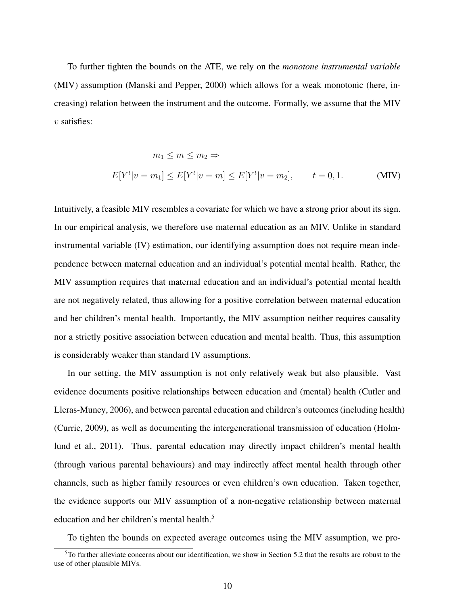To further tighten the bounds on the ATE, we rely on the *monotone instrumental variable* (MIV) assumption (Manski and Pepper, 2000) which allows for a weak monotonic (here, increasing) relation between the instrument and the outcome. Formally, we assume that the MIV  $v$  satisfies:

$$
m_1 \le m \le m_2 \Rightarrow
$$
  

$$
E[Y^t | v = m_1] \le E[Y^t | v = m] \le E[Y^t | v = m_2], \qquad t = 0, 1.
$$
 (MV)

Intuitively, a feasible MIV resembles a covariate for which we have a strong prior about its sign. In our empirical analysis, we therefore use maternal education as an MIV. Unlike in standard instrumental variable (IV) estimation, our identifying assumption does not require mean independence between maternal education and an individual's potential mental health. Rather, the MIV assumption requires that maternal education and an individual's potential mental health are not negatively related, thus allowing for a positive correlation between maternal education and her children's mental health. Importantly, the MIV assumption neither requires causality nor a strictly positive association between education and mental health. Thus, this assumption is considerably weaker than standard IV assumptions.

In our setting, the MIV assumption is not only relatively weak but also plausible. Vast evidence documents positive relationships between education and (mental) health (Cutler and Lleras-Muney, 2006), and between parental education and children's outcomes (including health) (Currie, 2009), as well as documenting the intergenerational transmission of education (Holmlund et al., 2011). Thus, parental education may directly impact children's mental health (through various parental behaviours) and may indirectly affect mental health through other channels, such as higher family resources or even children's own education. Taken together, the evidence supports our MIV assumption of a non-negative relationship between maternal education and her children's mental health.<sup>5</sup>

To tighten the bounds on expected average outcomes using the MIV assumption, we pro-

<sup>5</sup>To further alleviate concerns about our identification, we show in Section 5.2 that the results are robust to the use of other plausible MIVs.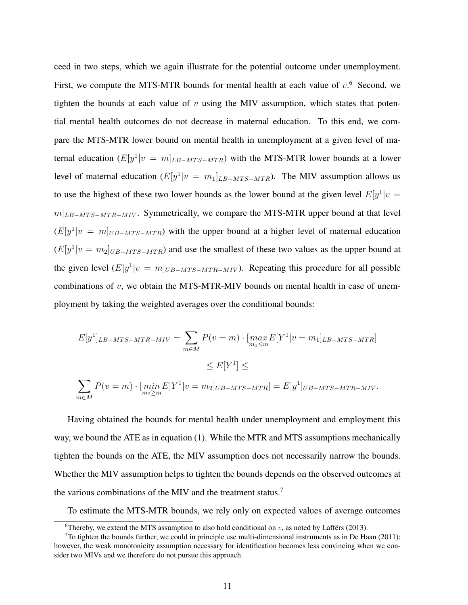ceed in two steps, which we again illustrate for the potential outcome under unemployment. First, we compute the MTS-MTR bounds for mental health at each value of  $v$ .<sup>6</sup> Second, we tighten the bounds at each value of  $v$  using the MIV assumption, which states that potential mental health outcomes do not decrease in maternal education. To this end, we compare the MTS-MTR lower bound on mental health in unemployment at a given level of maternal education  $(E[y^1]v = m]_{LB-MTS-MTR}$  with the MTS-MTR lower bounds at a lower level of maternal education  $(E[y^1]v = m_1]_{LB-MTS-MTR}$ ). The MIV assumption allows us to use the highest of these two lower bounds as the lower bound at the given level  $E[y^1]v =$  $m|_{LB-MTS-MTR-MIV}$ . Symmetrically, we compare the MTS-MTR upper bound at that level  $(E[y^1]v = m]_{UB-MTS-MTR}$ ) with the upper bound at a higher level of maternal education  $(E[y^1]v = m_2]_{UB-MTS-MTR}$ ) and use the smallest of these two values as the upper bound at the given level  $(E[y^1]v = m]_{UB-MTS-MTR-MIV}$ . Repeating this procedure for all possible combinations of  $v$ , we obtain the MTS-MTR-MIV bounds on mental health in case of unemployment by taking the weighted averages over the conditional bounds:

$$
E[y^1]_{LB-MTS-MTR-MIV} = \sum_{m \in M} P(v = m) \cdot [max_{m_1 \le m} E[Y^1 | v = m_1]_{LB-MTS-MTR}]
$$
  

$$
\le E[Y^1] \le
$$
  

$$
\sum_{m \in M} P(v = m) \cdot [min_{m_2 \ge m} E[Y^1 | v = m_2]_{UB-MTS-MTR}] = E[y^1]_{UB-MTS-MTR-MIV}.
$$

Having obtained the bounds for mental health under unemployment and employment this way, we bound the ATE as in equation (1). While the MTR and MTS assumptions mechanically tighten the bounds on the ATE, the MIV assumption does not necessarily narrow the bounds. Whether the MIV assumption helps to tighten the bounds depends on the observed outcomes at the various combinations of the MIV and the treatment status.<sup>7</sup>

To estimate the MTS-MTR bounds, we rely only on expected values of average outcomes

<sup>&</sup>lt;sup>6</sup>Thereby, we extend the MTS assumption to also hold conditional on v, as noted by Lafférs (2013).

 $7$ To tighten the bounds further, we could in principle use multi-dimensional instruments as in De Haan (2011); however, the weak monotonicity assumption necessary for identification becomes less convincing when we consider two MIVs and we therefore do not pursue this approach.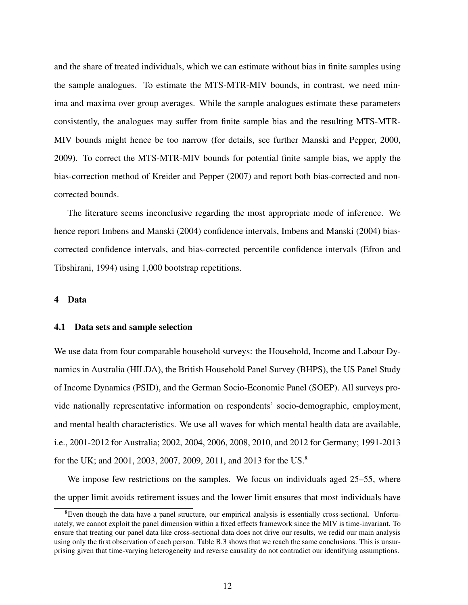and the share of treated individuals, which we can estimate without bias in finite samples using the sample analogues. To estimate the MTS-MTR-MIV bounds, in contrast, we need minima and maxima over group averages. While the sample analogues estimate these parameters consistently, the analogues may suffer from finite sample bias and the resulting MTS-MTR-MIV bounds might hence be too narrow (for details, see further Manski and Pepper, 2000, 2009). To correct the MTS-MTR-MIV bounds for potential finite sample bias, we apply the bias-correction method of Kreider and Pepper (2007) and report both bias-corrected and noncorrected bounds.

The literature seems inconclusive regarding the most appropriate mode of inference. We hence report Imbens and Manski (2004) confidence intervals, Imbens and Manski (2004) biascorrected confidence intervals, and bias-corrected percentile confidence intervals (Efron and Tibshirani, 1994) using 1,000 bootstrap repetitions.

#### 4 Data

### 4.1 Data sets and sample selection

We use data from four comparable household surveys: the Household, Income and Labour Dynamics in Australia (HILDA), the British Household Panel Survey (BHPS), the US Panel Study of Income Dynamics (PSID), and the German Socio-Economic Panel (SOEP). All surveys provide nationally representative information on respondents' socio-demographic, employment, and mental health characteristics. We use all waves for which mental health data are available, i.e., 2001-2012 for Australia; 2002, 2004, 2006, 2008, 2010, and 2012 for Germany; 1991-2013 for the UK; and 2001, 2003, 2007, 2009, 2011, and 2013 for the US.<sup>8</sup>

We impose few restrictions on the samples. We focus on individuals aged 25–55, where the upper limit avoids retirement issues and the lower limit ensures that most individuals have

<sup>&</sup>lt;sup>8</sup>Even though the data have a panel structure, our empirical analysis is essentially cross-sectional. Unfortunately, we cannot exploit the panel dimension within a fixed effects framework since the MIV is time-invariant. To ensure that treating our panel data like cross-sectional data does not drive our results, we redid our main analysis using only the first observation of each person. Table B.3 shows that we reach the same conclusions. This is unsurprising given that time-varying heterogeneity and reverse causality do not contradict our identifying assumptions.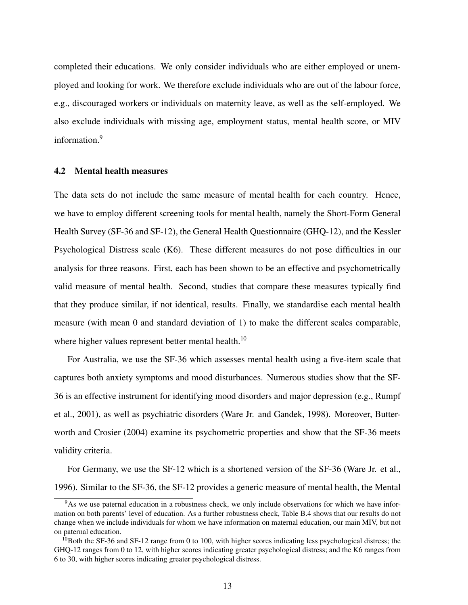completed their educations. We only consider individuals who are either employed or unemployed and looking for work. We therefore exclude individuals who are out of the labour force, e.g., discouraged workers or individuals on maternity leave, as well as the self-employed. We also exclude individuals with missing age, employment status, mental health score, or MIV information.<sup>9</sup>

#### 4.2 Mental health measures

The data sets do not include the same measure of mental health for each country. Hence, we have to employ different screening tools for mental health, namely the Short-Form General Health Survey (SF-36 and SF-12), the General Health Questionnaire (GHQ-12), and the Kessler Psychological Distress scale (K6). These different measures do not pose difficulties in our analysis for three reasons. First, each has been shown to be an effective and psychometrically valid measure of mental health. Second, studies that compare these measures typically find that they produce similar, if not identical, results. Finally, we standardise each mental health measure (with mean 0 and standard deviation of 1) to make the different scales comparable, where higher values represent better mental health.<sup>10</sup>

For Australia, we use the SF-36 which assesses mental health using a five-item scale that captures both anxiety symptoms and mood disturbances. Numerous studies show that the SF-36 is an effective instrument for identifying mood disorders and major depression (e.g., Rumpf et al., 2001), as well as psychiatric disorders (Ware Jr. and Gandek, 1998). Moreover, Butterworth and Crosier (2004) examine its psychometric properties and show that the SF-36 meets validity criteria.

For Germany, we use the SF-12 which is a shortened version of the SF-36 (Ware Jr. et al., 1996). Similar to the SF-36, the SF-12 provides a generic measure of mental health, the Mental

<sup>&</sup>lt;sup>9</sup>As we use paternal education in a robustness check, we only include observations for which we have information on both parents' level of education. As a further robustness check, Table B.4 shows that our results do not change when we include individuals for whom we have information on maternal education, our main MIV, but not on paternal education.

 $10B$ oth the SF-36 and SF-12 range from 0 to 100, with higher scores indicating less psychological distress; the GHQ-12 ranges from 0 to 12, with higher scores indicating greater psychological distress; and the K6 ranges from 6 to 30, with higher scores indicating greater psychological distress.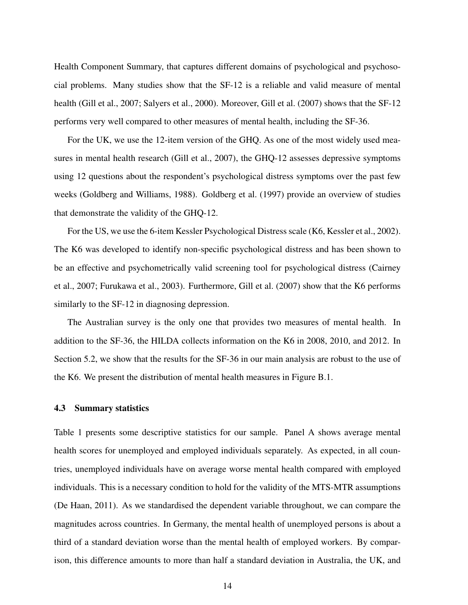Health Component Summary, that captures different domains of psychological and psychosocial problems. Many studies show that the SF-12 is a reliable and valid measure of mental health (Gill et al., 2007; Salyers et al., 2000). Moreover, Gill et al. (2007) shows that the SF-12 performs very well compared to other measures of mental health, including the SF-36.

For the UK, we use the 12-item version of the GHQ. As one of the most widely used measures in mental health research (Gill et al., 2007), the GHQ-12 assesses depressive symptoms using 12 questions about the respondent's psychological distress symptoms over the past few weeks (Goldberg and Williams, 1988). Goldberg et al. (1997) provide an overview of studies that demonstrate the validity of the GHQ-12.

For the US, we use the 6-item Kessler Psychological Distress scale (K6, Kessler et al., 2002). The K6 was developed to identify non-specific psychological distress and has been shown to be an effective and psychometrically valid screening tool for psychological distress (Cairney et al., 2007; Furukawa et al., 2003). Furthermore, Gill et al. (2007) show that the K6 performs similarly to the SF-12 in diagnosing depression.

The Australian survey is the only one that provides two measures of mental health. In addition to the SF-36, the HILDA collects information on the K6 in 2008, 2010, and 2012. In Section 5.2, we show that the results for the SF-36 in our main analysis are robust to the use of the K6. We present the distribution of mental health measures in Figure B.1.

#### 4.3 Summary statistics

Table 1 presents some descriptive statistics for our sample. Panel A shows average mental health scores for unemployed and employed individuals separately. As expected, in all countries, unemployed individuals have on average worse mental health compared with employed individuals. This is a necessary condition to hold for the validity of the MTS-MTR assumptions (De Haan, 2011). As we standardised the dependent variable throughout, we can compare the magnitudes across countries. In Germany, the mental health of unemployed persons is about a third of a standard deviation worse than the mental health of employed workers. By comparison, this difference amounts to more than half a standard deviation in Australia, the UK, and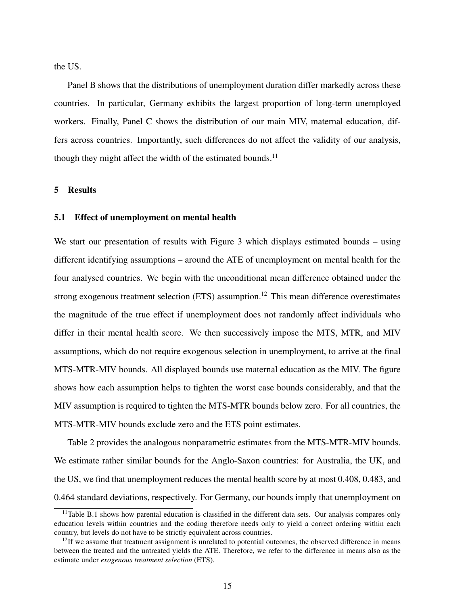the US.

Panel B shows that the distributions of unemployment duration differ markedly across these countries. In particular, Germany exhibits the largest proportion of long-term unemployed workers. Finally, Panel C shows the distribution of our main MIV, maternal education, differs across countries. Importantly, such differences do not affect the validity of our analysis, though they might affect the width of the estimated bounds. $11$ 

#### 5 Results

#### 5.1 Effect of unemployment on mental health

We start our presentation of results with Figure 3 which displays estimated bounds – using different identifying assumptions – around the ATE of unemployment on mental health for the four analysed countries. We begin with the unconditional mean difference obtained under the strong exogenous treatment selection  $(ETS)$  assumption.<sup>12</sup> This mean difference overestimates the magnitude of the true effect if unemployment does not randomly affect individuals who differ in their mental health score. We then successively impose the MTS, MTR, and MIV assumptions, which do not require exogenous selection in unemployment, to arrive at the final MTS-MTR-MIV bounds. All displayed bounds use maternal education as the MIV. The figure shows how each assumption helps to tighten the worst case bounds considerably, and that the MIV assumption is required to tighten the MTS-MTR bounds below zero. For all countries, the MTS-MTR-MIV bounds exclude zero and the ETS point estimates.

Table 2 provides the analogous nonparametric estimates from the MTS-MTR-MIV bounds. We estimate rather similar bounds for the Anglo-Saxon countries: for Australia, the UK, and the US, we find that unemployment reduces the mental health score by at most 0.408, 0.483, and 0.464 standard deviations, respectively. For Germany, our bounds imply that unemployment on

<sup>&</sup>lt;sup>11</sup>Table B.1 shows how parental education is classified in the different data sets. Our analysis compares only education levels within countries and the coding therefore needs only to yield a correct ordering within each country, but levels do not have to be strictly equivalent across countries.

 $12$ If we assume that treatment assignment is unrelated to potential outcomes, the observed difference in means between the treated and the untreated yields the ATE. Therefore, we refer to the difference in means also as the estimate under *exogenous treatment selection* (ETS).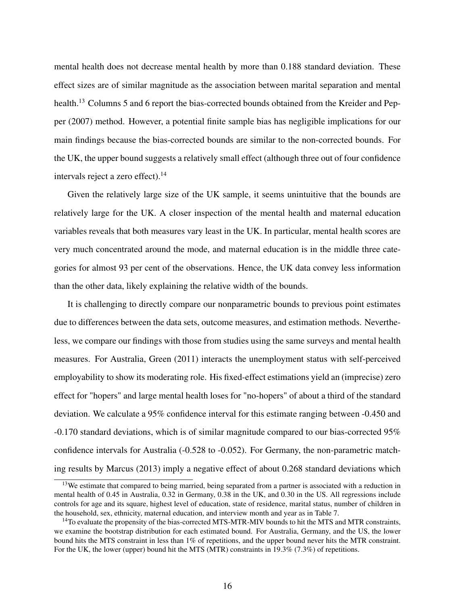mental health does not decrease mental health by more than 0.188 standard deviation. These effect sizes are of similar magnitude as the association between marital separation and mental health.<sup>13</sup> Columns 5 and 6 report the bias-corrected bounds obtained from the Kreider and Pepper (2007) method. However, a potential finite sample bias has negligible implications for our main findings because the bias-corrected bounds are similar to the non-corrected bounds. For the UK, the upper bound suggests a relatively small effect (although three out of four confidence intervals reject a zero effect).<sup>14</sup>

Given the relatively large size of the UK sample, it seems unintuitive that the bounds are relatively large for the UK. A closer inspection of the mental health and maternal education variables reveals that both measures vary least in the UK. In particular, mental health scores are very much concentrated around the mode, and maternal education is in the middle three categories for almost 93 per cent of the observations. Hence, the UK data convey less information than the other data, likely explaining the relative width of the bounds.

It is challenging to directly compare our nonparametric bounds to previous point estimates due to differences between the data sets, outcome measures, and estimation methods. Nevertheless, we compare our findings with those from studies using the same surveys and mental health measures. For Australia, Green (2011) interacts the unemployment status with self-perceived employability to show its moderating role. His fixed-effect estimations yield an (imprecise) zero effect for "hopers" and large mental health loses for "no-hopers" of about a third of the standard deviation. We calculate a 95% confidence interval for this estimate ranging between -0.450 and -0.170 standard deviations, which is of similar magnitude compared to our bias-corrected 95% confidence intervals for Australia (-0.528 to -0.052). For Germany, the non-parametric matching results by Marcus (2013) imply a negative effect of about 0.268 standard deviations which

<sup>&</sup>lt;sup>13</sup>We estimate that compared to being married, being separated from a partner is associated with a reduction in mental health of 0.45 in Australia, 0.32 in Germany, 0.38 in the UK, and 0.30 in the US. All regressions include controls for age and its square, highest level of education, state of residence, marital status, number of children in the household, sex, ethnicity, maternal education, and interview month and year as in Table 7.

<sup>&</sup>lt;sup>14</sup>To evaluate the propensity of the bias-corrected MTS-MTR-MIV bounds to hit the MTS and MTR constraints, we examine the bootstrap distribution for each estimated bound. For Australia, Germany, and the US, the lower bound hits the MTS constraint in less than 1% of repetitions, and the upper bound never hits the MTR constraint. For the UK, the lower (upper) bound hit the MTS (MTR) constraints in 19.3% (7.3%) of repetitions.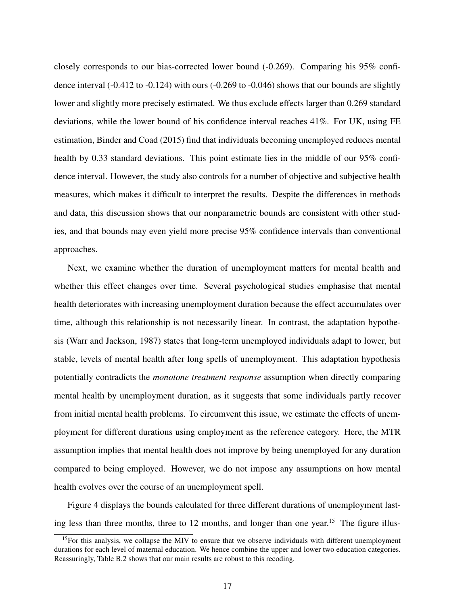closely corresponds to our bias-corrected lower bound (-0.269). Comparing his 95% confidence interval (-0.412 to -0.124) with ours (-0.269 to -0.046) shows that our bounds are slightly lower and slightly more precisely estimated. We thus exclude effects larger than 0.269 standard deviations, while the lower bound of his confidence interval reaches 41%. For UK, using FE estimation, Binder and Coad (2015) find that individuals becoming unemployed reduces mental health by 0.33 standard deviations. This point estimate lies in the middle of our 95% confidence interval. However, the study also controls for a number of objective and subjective health measures, which makes it difficult to interpret the results. Despite the differences in methods and data, this discussion shows that our nonparametric bounds are consistent with other studies, and that bounds may even yield more precise 95% confidence intervals than conventional approaches.

Next, we examine whether the duration of unemployment matters for mental health and whether this effect changes over time. Several psychological studies emphasise that mental health deteriorates with increasing unemployment duration because the effect accumulates over time, although this relationship is not necessarily linear. In contrast, the adaptation hypothesis (Warr and Jackson, 1987) states that long-term unemployed individuals adapt to lower, but stable, levels of mental health after long spells of unemployment. This adaptation hypothesis potentially contradicts the *monotone treatment response* assumption when directly comparing mental health by unemployment duration, as it suggests that some individuals partly recover from initial mental health problems. To circumvent this issue, we estimate the effects of unemployment for different durations using employment as the reference category. Here, the MTR assumption implies that mental health does not improve by being unemployed for any duration compared to being employed. However, we do not impose any assumptions on how mental health evolves over the course of an unemployment spell.

Figure 4 displays the bounds calculated for three different durations of unemployment lasting less than three months, three to 12 months, and longer than one year.<sup>15</sup> The figure illus-

 $15$  For this analysis, we collapse the MIV to ensure that we observe individuals with different unemployment durations for each level of maternal education. We hence combine the upper and lower two education categories. Reassuringly, Table B.2 shows that our main results are robust to this recoding.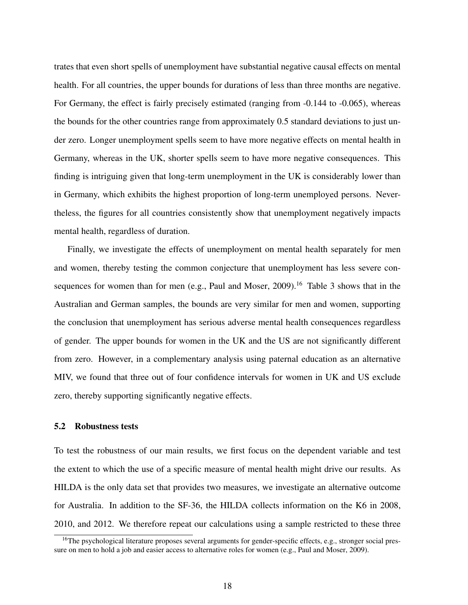trates that even short spells of unemployment have substantial negative causal effects on mental health. For all countries, the upper bounds for durations of less than three months are negative. For Germany, the effect is fairly precisely estimated (ranging from -0.144 to -0.065), whereas the bounds for the other countries range from approximately 0.5 standard deviations to just under zero. Longer unemployment spells seem to have more negative effects on mental health in Germany, whereas in the UK, shorter spells seem to have more negative consequences. This finding is intriguing given that long-term unemployment in the UK is considerably lower than in Germany, which exhibits the highest proportion of long-term unemployed persons. Nevertheless, the figures for all countries consistently show that unemployment negatively impacts mental health, regardless of duration.

Finally, we investigate the effects of unemployment on mental health separately for men and women, thereby testing the common conjecture that unemployment has less severe consequences for women than for men (e.g., Paul and Moser, 2009).<sup>16</sup> Table 3 shows that in the Australian and German samples, the bounds are very similar for men and women, supporting the conclusion that unemployment has serious adverse mental health consequences regardless of gender. The upper bounds for women in the UK and the US are not significantly different from zero. However, in a complementary analysis using paternal education as an alternative MIV, we found that three out of four confidence intervals for women in UK and US exclude zero, thereby supporting significantly negative effects.

# 5.2 Robustness tests

To test the robustness of our main results, we first focus on the dependent variable and test the extent to which the use of a specific measure of mental health might drive our results. As HILDA is the only data set that provides two measures, we investigate an alternative outcome for Australia. In addition to the SF-36, the HILDA collects information on the K6 in 2008, 2010, and 2012. We therefore repeat our calculations using a sample restricted to these three

 $16$ The psychological literature proposes several arguments for gender-specific effects, e.g., stronger social pressure on men to hold a job and easier access to alternative roles for women (e.g., Paul and Moser, 2009).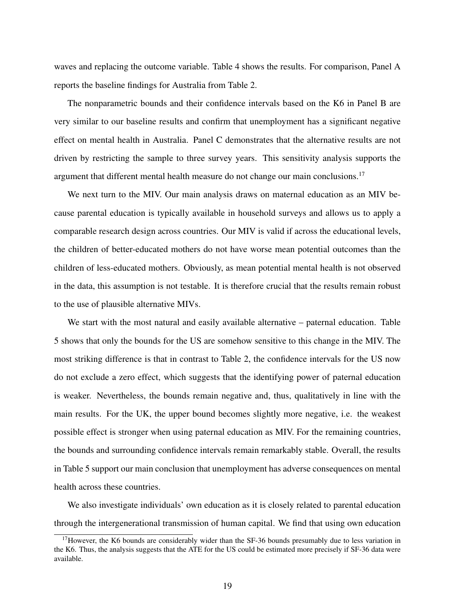waves and replacing the outcome variable. Table 4 shows the results. For comparison, Panel A reports the baseline findings for Australia from Table 2.

The nonparametric bounds and their confidence intervals based on the K6 in Panel B are very similar to our baseline results and confirm that unemployment has a significant negative effect on mental health in Australia. Panel C demonstrates that the alternative results are not driven by restricting the sample to three survey years. This sensitivity analysis supports the argument that different mental health measure do not change our main conclusions.<sup>17</sup>

We next turn to the MIV. Our main analysis draws on maternal education as an MIV because parental education is typically available in household surveys and allows us to apply a comparable research design across countries. Our MIV is valid if across the educational levels, the children of better-educated mothers do not have worse mean potential outcomes than the children of less-educated mothers. Obviously, as mean potential mental health is not observed in the data, this assumption is not testable. It is therefore crucial that the results remain robust to the use of plausible alternative MIVs.

We start with the most natural and easily available alternative – paternal education. Table 5 shows that only the bounds for the US are somehow sensitive to this change in the MIV. The most striking difference is that in contrast to Table 2, the confidence intervals for the US now do not exclude a zero effect, which suggests that the identifying power of paternal education is weaker. Nevertheless, the bounds remain negative and, thus, qualitatively in line with the main results. For the UK, the upper bound becomes slightly more negative, i.e. the weakest possible effect is stronger when using paternal education as MIV. For the remaining countries, the bounds and surrounding confidence intervals remain remarkably stable. Overall, the results in Table 5 support our main conclusion that unemployment has adverse consequences on mental health across these countries.

We also investigate individuals' own education as it is closely related to parental education through the intergenerational transmission of human capital. We find that using own education

<sup>&</sup>lt;sup>17</sup>However, the K6 bounds are considerably wider than the SF-36 bounds presumably due to less variation in the K6. Thus, the analysis suggests that the ATE for the US could be estimated more precisely if SF-36 data were available.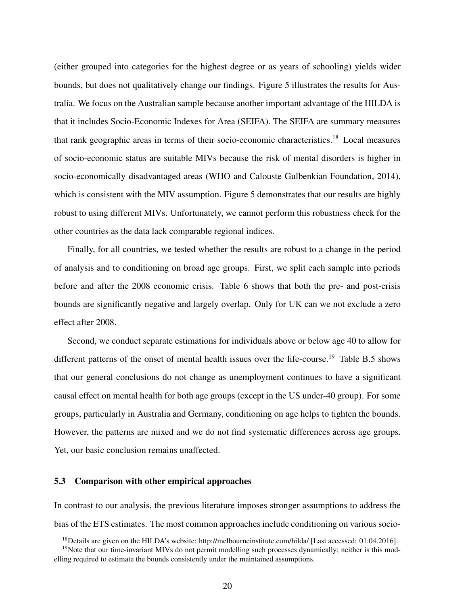(either grouped into categories for the highest degree or as years of schooling) yields wider bounds, but does not qualitatively change our findings. Figure 5 illustrates the results for Australia. We focus on the Australian sample because another important advantage of the HILDA is that it includes Socio-Economic Indexes for Area (SEIFA). The SEIFA are summary measures that rank geographic areas in terms of their socio-economic characteristics.<sup>18</sup> Local measures of socio-economic status are suitable MIVs because the risk of mental disorders is higher in socio-economically disadvantaged areas (WHO and Calouste Gulbenkian Foundation, 2014), which is consistent with the MIV assumption. Figure 5 demonstrates that our results are highly robust to using different MIVs. Unfortunately, we cannot perform this robustness check for the other countries as the data lack comparable regional indices.

Finally, for all countries, we tested whether the results are robust to a change in the period of analysis and to conditioning on broad age groups. First, we split each sample into periods before and after the 2008 economic crisis. Table 6 shows that both the pre- and post-crisis bounds are significantly negative and largely overlap. Only for UK can we not exclude a zero effect after 2008.

Second, we conduct separate estimations for individuals above or below age 40 to allow for different patterns of the onset of mental health issues over the life-course.<sup>19</sup> Table B.5 shows that our general conclusions do not change as unemployment continues to have a significant causal effect on mental health for both age groups (except in the US under-40 group). For some groups, particularly in Australia and Germany, conditioning on age helps to tighten the bounds. However, the patterns are mixed and we do not find systematic differences across age groups. Yet, our basic conclusion remains unaffected.

## 5.3 Comparison with other empirical approaches

In contrast to our analysis, the previous literature imposes stronger assumptions to address the bias of the ETS estimates. The most common approaches include conditioning on various socio-

<sup>&</sup>lt;sup>18</sup>Details are given on the HILDA's website: http://melbourneinstitute.com/hilda/ [Last accessed: 01.04.2016].

<sup>&</sup>lt;sup>19</sup>Note that our time-invariant MIVs do not permit modelling such processes dynamically; neither is this modelling required to estimate the bounds consistently under the maintained assumptions.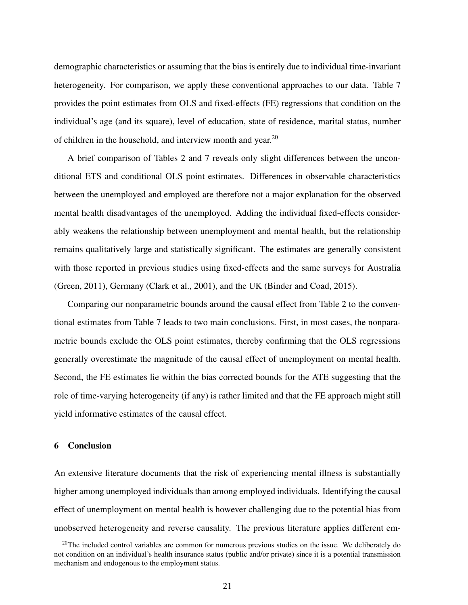demographic characteristics or assuming that the bias is entirely due to individual time-invariant heterogeneity. For comparison, we apply these conventional approaches to our data. Table 7 provides the point estimates from OLS and fixed-effects (FE) regressions that condition on the individual's age (and its square), level of education, state of residence, marital status, number of children in the household, and interview month and year.<sup>20</sup>

A brief comparison of Tables 2 and 7 reveals only slight differences between the unconditional ETS and conditional OLS point estimates. Differences in observable characteristics between the unemployed and employed are therefore not a major explanation for the observed mental health disadvantages of the unemployed. Adding the individual fixed-effects considerably weakens the relationship between unemployment and mental health, but the relationship remains qualitatively large and statistically significant. The estimates are generally consistent with those reported in previous studies using fixed-effects and the same surveys for Australia (Green, 2011), Germany (Clark et al., 2001), and the UK (Binder and Coad, 2015).

Comparing our nonparametric bounds around the causal effect from Table 2 to the conventional estimates from Table 7 leads to two main conclusions. First, in most cases, the nonparametric bounds exclude the OLS point estimates, thereby confirming that the OLS regressions generally overestimate the magnitude of the causal effect of unemployment on mental health. Second, the FE estimates lie within the bias corrected bounds for the ATE suggesting that the role of time-varying heterogeneity (if any) is rather limited and that the FE approach might still yield informative estimates of the causal effect.

# 6 Conclusion

An extensive literature documents that the risk of experiencing mental illness is substantially higher among unemployed individuals than among employed individuals. Identifying the causal effect of unemployment on mental health is however challenging due to the potential bias from unobserved heterogeneity and reverse causality. The previous literature applies different em-

<sup>&</sup>lt;sup>20</sup>The included control variables are common for numerous previous studies on the issue. We deliberately do not condition on an individual's health insurance status (public and/or private) since it is a potential transmission mechanism and endogenous to the employment status.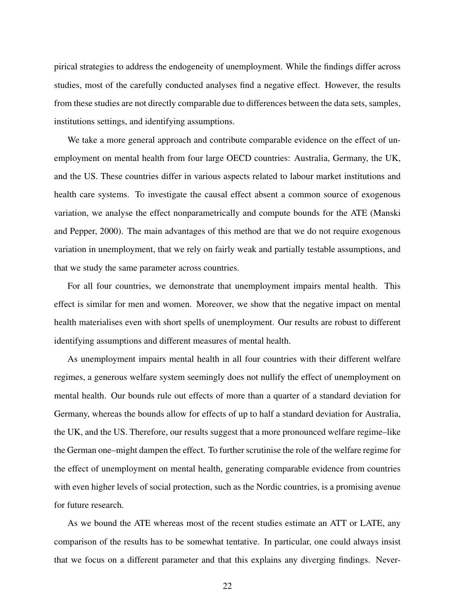pirical strategies to address the endogeneity of unemployment. While the findings differ across studies, most of the carefully conducted analyses find a negative effect. However, the results from these studies are not directly comparable due to differences between the data sets, samples, institutions settings, and identifying assumptions.

We take a more general approach and contribute comparable evidence on the effect of unemployment on mental health from four large OECD countries: Australia, Germany, the UK, and the US. These countries differ in various aspects related to labour market institutions and health care systems. To investigate the causal effect absent a common source of exogenous variation, we analyse the effect nonparametrically and compute bounds for the ATE (Manski and Pepper, 2000). The main advantages of this method are that we do not require exogenous variation in unemployment, that we rely on fairly weak and partially testable assumptions, and that we study the same parameter across countries.

For all four countries, we demonstrate that unemployment impairs mental health. This effect is similar for men and women. Moreover, we show that the negative impact on mental health materialises even with short spells of unemployment. Our results are robust to different identifying assumptions and different measures of mental health.

As unemployment impairs mental health in all four countries with their different welfare regimes, a generous welfare system seemingly does not nullify the effect of unemployment on mental health. Our bounds rule out effects of more than a quarter of a standard deviation for Germany, whereas the bounds allow for effects of up to half a standard deviation for Australia, the UK, and the US. Therefore, our results suggest that a more pronounced welfare regime–like the German one–might dampen the effect. To further scrutinise the role of the welfare regime for the effect of unemployment on mental health, generating comparable evidence from countries with even higher levels of social protection, such as the Nordic countries, is a promising avenue for future research.

As we bound the ATE whereas most of the recent studies estimate an ATT or LATE, any comparison of the results has to be somewhat tentative. In particular, one could always insist that we focus on a different parameter and that this explains any diverging findings. Never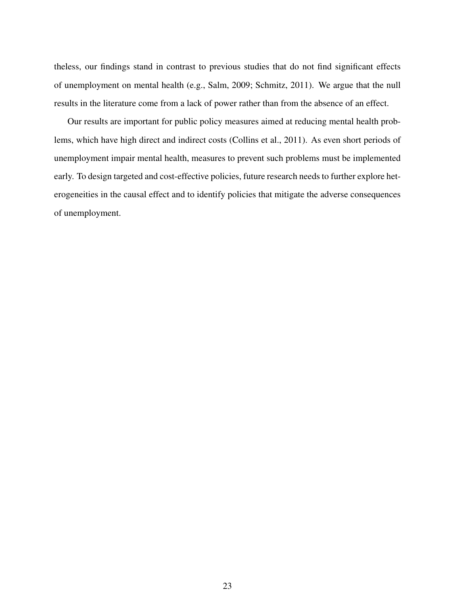theless, our findings stand in contrast to previous studies that do not find significant effects of unemployment on mental health (e.g., Salm, 2009; Schmitz, 2011). We argue that the null results in the literature come from a lack of power rather than from the absence of an effect.

Our results are important for public policy measures aimed at reducing mental health problems, which have high direct and indirect costs (Collins et al., 2011). As even short periods of unemployment impair mental health, measures to prevent such problems must be implemented early. To design targeted and cost-effective policies, future research needs to further explore heterogeneities in the causal effect and to identify policies that mitigate the adverse consequences of unemployment.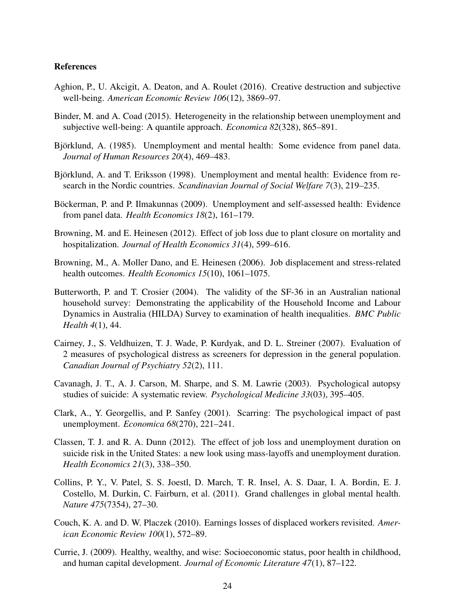## References

- Aghion, P., U. Akcigit, A. Deaton, and A. Roulet (2016). Creative destruction and subjective well-being. *American Economic Review 106*(12), 3869–97.
- Binder, M. and A. Coad (2015). Heterogeneity in the relationship between unemployment and subjective well-being: A quantile approach. *Economica 82*(328), 865–891.
- Björklund, A. (1985). Unemployment and mental health: Some evidence from panel data. *Journal of Human Resources 20*(4), 469–483.
- Björklund, A. and T. Eriksson (1998). Unemployment and mental health: Evidence from research in the Nordic countries. *Scandinavian Journal of Social Welfare 7*(3), 219–235.
- Böckerman, P. and P. Ilmakunnas (2009). Unemployment and self-assessed health: Evidence from panel data. *Health Economics 18*(2), 161–179.
- Browning, M. and E. Heinesen (2012). Effect of job loss due to plant closure on mortality and hospitalization. *Journal of Health Economics 31*(4), 599–616.
- Browning, M., A. Moller Dano, and E. Heinesen (2006). Job displacement and stress-related health outcomes. *Health Economics 15*(10), 1061–1075.
- Butterworth, P. and T. Crosier (2004). The validity of the SF-36 in an Australian national household survey: Demonstrating the applicability of the Household Income and Labour Dynamics in Australia (HILDA) Survey to examination of health inequalities. *BMC Public Health 4*(1), 44.
- Cairney, J., S. Veldhuizen, T. J. Wade, P. Kurdyak, and D. L. Streiner (2007). Evaluation of 2 measures of psychological distress as screeners for depression in the general population. *Canadian Journal of Psychiatry 52*(2), 111.
- Cavanagh, J. T., A. J. Carson, M. Sharpe, and S. M. Lawrie (2003). Psychological autopsy studies of suicide: A systematic review. *Psychological Medicine 33*(03), 395–405.
- Clark, A., Y. Georgellis, and P. Sanfey (2001). Scarring: The psychological impact of past unemployment. *Economica 68*(270), 221–241.
- Classen, T. J. and R. A. Dunn (2012). The effect of job loss and unemployment duration on suicide risk in the United States: a new look using mass-layoffs and unemployment duration. *Health Economics 21*(3), 338–350.
- Collins, P. Y., V. Patel, S. S. Joestl, D. March, T. R. Insel, A. S. Daar, I. A. Bordin, E. J. Costello, M. Durkin, C. Fairburn, et al. (2011). Grand challenges in global mental health. *Nature 475*(7354), 27–30.
- Couch, K. A. and D. W. Placzek (2010). Earnings losses of displaced workers revisited. *American Economic Review 100*(1), 572–89.
- Currie, J. (2009). Healthy, wealthy, and wise: Socioeconomic status, poor health in childhood, and human capital development. *Journal of Economic Literature 47*(1), 87–122.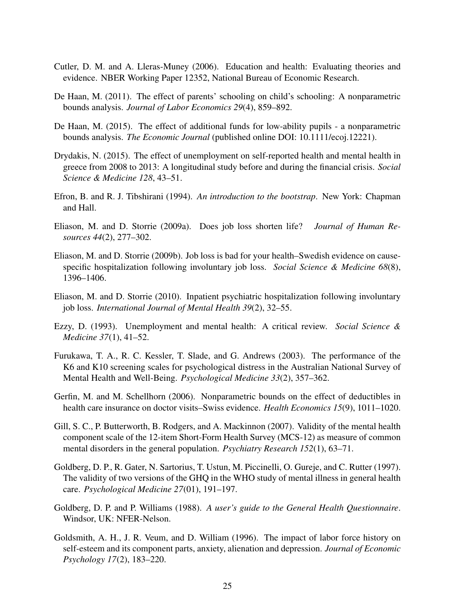- Cutler, D. M. and A. Lleras-Muney (2006). Education and health: Evaluating theories and evidence. NBER Working Paper 12352, National Bureau of Economic Research.
- De Haan, M. (2011). The effect of parents' schooling on child's schooling: A nonparametric bounds analysis. *Journal of Labor Economics 29*(4), 859–892.
- De Haan, M. (2015). The effect of additional funds for low-ability pupils a nonparametric bounds analysis. *The Economic Journal* (published online DOI: 10.1111/ecoj.12221).
- Drydakis, N. (2015). The effect of unemployment on self-reported health and mental health in greece from 2008 to 2013: A longitudinal study before and during the financial crisis. *Social Science & Medicine 128*, 43–51.
- Efron, B. and R. J. Tibshirani (1994). *An introduction to the bootstrap*. New York: Chapman and Hall.
- Eliason, M. and D. Storrie (2009a). Does job loss shorten life? *Journal of Human Resources 44*(2), 277–302.
- Eliason, M. and D. Storrie (2009b). Job loss is bad for your health–Swedish evidence on causespecific hospitalization following involuntary job loss. *Social Science & Medicine 68*(8), 1396–1406.
- Eliason, M. and D. Storrie (2010). Inpatient psychiatric hospitalization following involuntary job loss. *International Journal of Mental Health 39*(2), 32–55.
- Ezzy, D. (1993). Unemployment and mental health: A critical review. *Social Science & Medicine 37*(1), 41–52.
- Furukawa, T. A., R. C. Kessler, T. Slade, and G. Andrews (2003). The performance of the K6 and K10 screening scales for psychological distress in the Australian National Survey of Mental Health and Well-Being. *Psychological Medicine 33*(2), 357–362.
- Gerfin, M. and M. Schellhorn (2006). Nonparametric bounds on the effect of deductibles in health care insurance on doctor visits–Swiss evidence. *Health Economics 15*(9), 1011–1020.
- Gill, S. C., P. Butterworth, B. Rodgers, and A. Mackinnon (2007). Validity of the mental health component scale of the 12-item Short-Form Health Survey (MCS-12) as measure of common mental disorders in the general population. *Psychiatry Research 152*(1), 63–71.
- Goldberg, D. P., R. Gater, N. Sartorius, T. Ustun, M. Piccinelli, O. Gureje, and C. Rutter (1997). The validity of two versions of the GHQ in the WHO study of mental illness in general health care. *Psychological Medicine 27*(01), 191–197.
- Goldberg, D. P. and P. Williams (1988). *A user's guide to the General Health Questionnaire*. Windsor, UK: NFER-Nelson.
- Goldsmith, A. H., J. R. Veum, and D. William (1996). The impact of labor force history on self-esteem and its component parts, anxiety, alienation and depression. *Journal of Economic Psychology 17*(2), 183–220.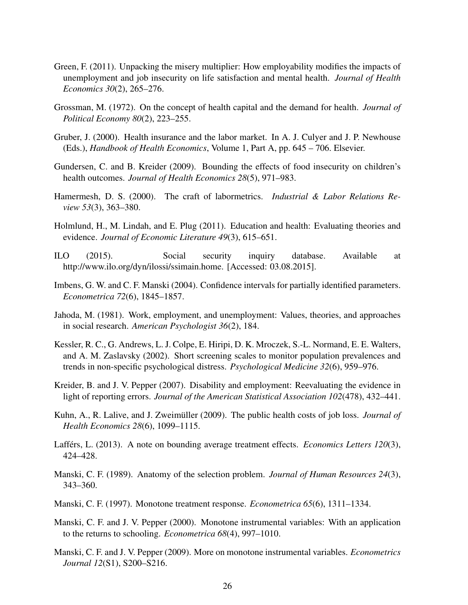- Green, F. (2011). Unpacking the misery multiplier: How employability modifies the impacts of unemployment and job insecurity on life satisfaction and mental health. *Journal of Health Economics 30*(2), 265–276.
- Grossman, M. (1972). On the concept of health capital and the demand for health. *Journal of Political Economy 80*(2), 223–255.
- Gruber, J. (2000). Health insurance and the labor market. In A. J. Culyer and J. P. Newhouse (Eds.), *Handbook of Health Economics*, Volume 1, Part A, pp. 645 – 706. Elsevier.
- Gundersen, C. and B. Kreider (2009). Bounding the effects of food insecurity on children's health outcomes. *Journal of Health Economics 28*(5), 971–983.
- Hamermesh, D. S. (2000). The craft of labormetrics. *Industrial & Labor Relations Review 53*(3), 363–380.
- Holmlund, H., M. Lindah, and E. Plug (2011). Education and health: Evaluating theories and evidence. *Journal of Economic Literature 49*(3), 615–651.
- ILO (2015). Social security inquiry database. Available at http://www.ilo.org/dyn/ilossi/ssimain.home. [Accessed: 03.08.2015].
- Imbens, G. W. and C. F. Manski (2004). Confidence intervals for partially identified parameters. *Econometrica 72*(6), 1845–1857.
- Jahoda, M. (1981). Work, employment, and unemployment: Values, theories, and approaches in social research. *American Psychologist 36*(2), 184.
- Kessler, R. C., G. Andrews, L. J. Colpe, E. Hiripi, D. K. Mroczek, S.-L. Normand, E. E. Walters, and A. M. Zaslavsky (2002). Short screening scales to monitor population prevalences and trends in non-specific psychological distress. *Psychological Medicine 32*(6), 959–976.
- Kreider, B. and J. V. Pepper (2007). Disability and employment: Reevaluating the evidence in light of reporting errors. *Journal of the American Statistical Association 102*(478), 432–441.
- Kuhn, A., R. Lalive, and J. Zweimüller (2009). The public health costs of job loss. *Journal of Health Economics 28*(6), 1099–1115.
- Lafférs, L. (2013). A note on bounding average treatment effects. *Economics Letters 120*(3), 424–428.
- Manski, C. F. (1989). Anatomy of the selection problem. *Journal of Human Resources 24*(3), 343–360.
- Manski, C. F. (1997). Monotone treatment response. *Econometrica 65*(6), 1311–1334.
- Manski, C. F. and J. V. Pepper (2000). Monotone instrumental variables: With an application to the returns to schooling. *Econometrica 68*(4), 997–1010.
- Manski, C. F. and J. V. Pepper (2009). More on monotone instrumental variables. *Econometrics Journal 12*(S1), S200–S216.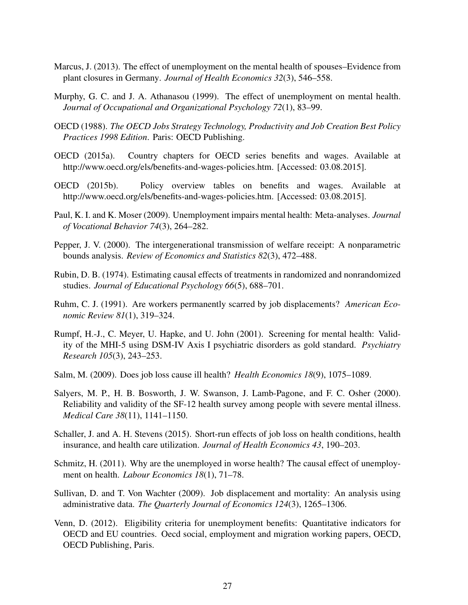- Marcus, J. (2013). The effect of unemployment on the mental health of spouses–Evidence from plant closures in Germany. *Journal of Health Economics 32*(3), 546–558.
- Murphy, G. C. and J. A. Athanasou (1999). The effect of unemployment on mental health. *Journal of Occupational and Organizational Psychology 72*(1), 83–99.
- OECD (1988). *The OECD Jobs Strategy Technology, Productivity and Job Creation Best Policy Practices 1998 Edition*. Paris: OECD Publishing.
- OECD (2015a). Country chapters for OECD series benefits and wages. Available at http://www.oecd.org/els/benefits-and-wages-policies.htm. [Accessed: 03.08.2015].
- OECD (2015b). Policy overview tables on benefits and wages. Available at http://www.oecd.org/els/benefits-and-wages-policies.htm. [Accessed: 03.08.2015].
- Paul, K. I. and K. Moser (2009). Unemployment impairs mental health: Meta-analyses. *Journal of Vocational Behavior 74*(3), 264–282.
- Pepper, J. V. (2000). The intergenerational transmission of welfare receipt: A nonparametric bounds analysis. *Review of Economics and Statistics 82*(3), 472–488.
- Rubin, D. B. (1974). Estimating causal effects of treatments in randomized and nonrandomized studies. *Journal of Educational Psychology 66*(5), 688–701.
- Ruhm, C. J. (1991). Are workers permanently scarred by job displacements? *American Economic Review 81*(1), 319–324.
- Rumpf, H.-J., C. Meyer, U. Hapke, and U. John (2001). Screening for mental health: Validity of the MHI-5 using DSM-IV Axis I psychiatric disorders as gold standard. *Psychiatry Research 105*(3), 243–253.
- Salm, M. (2009). Does job loss cause ill health? *Health Economics 18*(9), 1075–1089.
- Salyers, M. P., H. B. Bosworth, J. W. Swanson, J. Lamb-Pagone, and F. C. Osher (2000). Reliability and validity of the SF-12 health survey among people with severe mental illness. *Medical Care 38*(11), 1141–1150.
- Schaller, J. and A. H. Stevens (2015). Short-run effects of job loss on health conditions, health insurance, and health care utilization. *Journal of Health Economics 43*, 190–203.
- Schmitz, H. (2011). Why are the unemployed in worse health? The causal effect of unemployment on health. *Labour Economics 18*(1), 71–78.
- Sullivan, D. and T. Von Wachter (2009). Job displacement and mortality: An analysis using administrative data. *The Quarterly Journal of Economics 124*(3), 1265–1306.
- Venn, D. (2012). Eligibility criteria for unemployment benefits: Quantitative indicators for OECD and EU countries. Oecd social, employment and migration working papers, OECD, OECD Publishing, Paris.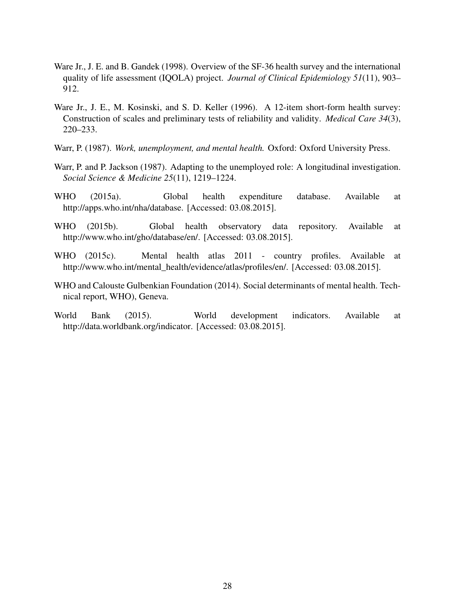- Ware Jr., J. E. and B. Gandek (1998). Overview of the SF-36 health survey and the international quality of life assessment (IQOLA) project. *Journal of Clinical Epidemiology 51*(11), 903– 912.
- Ware Jr., J. E., M. Kosinski, and S. D. Keller (1996). A 12-item short-form health survey: Construction of scales and preliminary tests of reliability and validity. *Medical Care 34*(3), 220–233.
- Warr, P. (1987). *Work, unemployment, and mental health.* Oxford: Oxford University Press.
- Warr, P. and P. Jackson (1987). Adapting to the unemployed role: A longitudinal investigation. *Social Science & Medicine 25*(11), 1219–1224.
- WHO (2015a). Global health expenditure database. Available at http://apps.who.int/nha/database. [Accessed: 03.08.2015].
- WHO (2015b). Global health observatory data repository. Available at http://www.who.int/gho/database/en/. [Accessed: 03.08.2015].
- WHO (2015c). Mental health atlas 2011 country profiles. Available at http://www.who.int/mental\_health/evidence/atlas/profiles/en/. [Accessed: 03.08.2015].
- WHO and Calouste Gulbenkian Foundation (2014). Social determinants of mental health. Technical report, WHO), Geneva.
- World Bank (2015). World development indicators. Available at http://data.worldbank.org/indicator. [Accessed: 03.08.2015].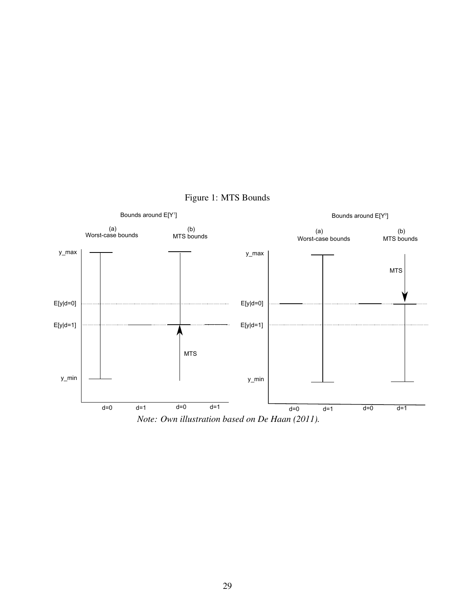

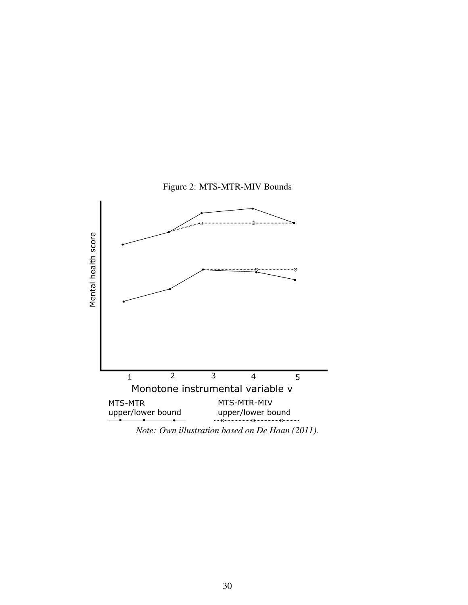



*Note: Own illustration based on De Haan (2011).*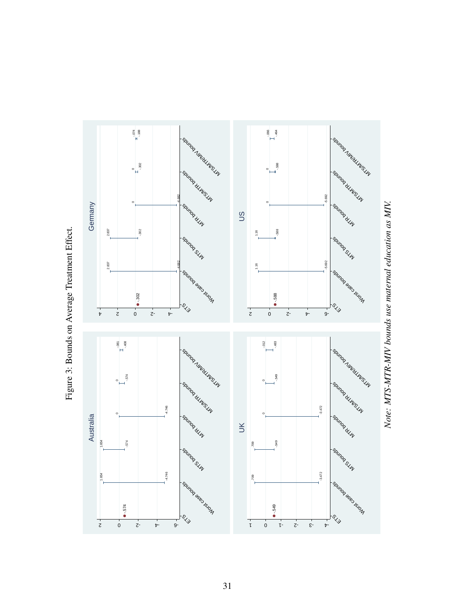

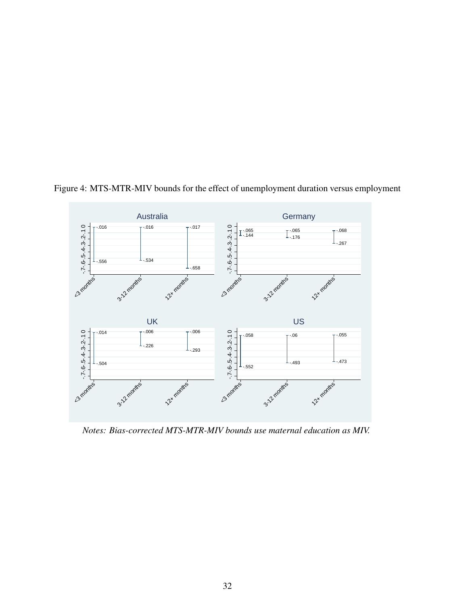

Figure 4: MTS-MTR-MIV bounds for the effect of unemployment duration versus employment

*Notes: Bias-corrected MTS-MTR-MIV bounds use maternal education as MIV.*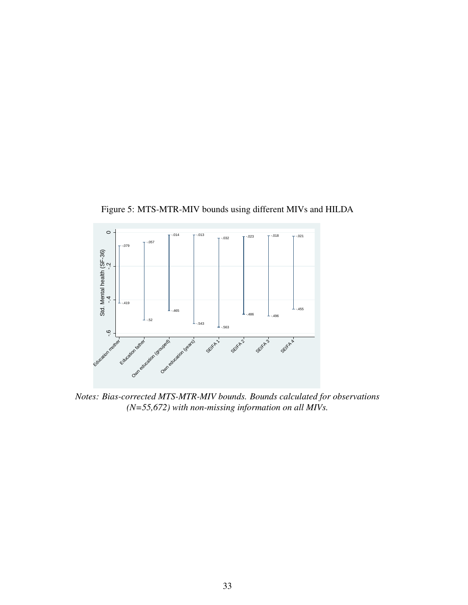Figure 5: MTS-MTR-MIV bounds using different MIVs and HILDA



*Notes: Bias-corrected MTS-MTR-MIV bounds. Bounds calculated for observations (N=55,672) with non-missing information on all MIVs.*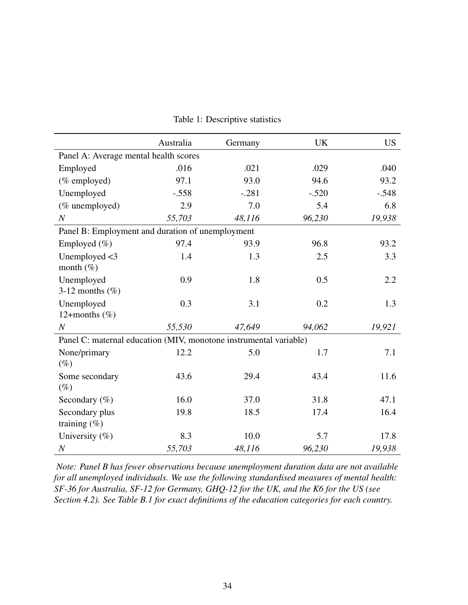|                                                                   | Australia | Germany | <b>UK</b> | <b>US</b> |  |  |  |
|-------------------------------------------------------------------|-----------|---------|-----------|-----------|--|--|--|
| Panel A: Average mental health scores                             |           |         |           |           |  |  |  |
| Employed                                                          | .016      | .021    | .029      | .040      |  |  |  |
| (% employed)                                                      | 97.1      | 93.0    | 94.6      | 93.2      |  |  |  |
| Unemployed                                                        | $-.558$   | $-.281$ | $-.520$   | $-.548$   |  |  |  |
| (% unemployed)                                                    | 2.9       | 7.0     | 5.4       | 6.8       |  |  |  |
| $\boldsymbol{N}$                                                  | 55,703    | 48,116  | 96,230    | 19,938    |  |  |  |
| Panel B: Employment and duration of unemployment                  |           |         |           |           |  |  |  |
| Employed $(\% )$                                                  | 97.4      | 93.9    | 96.8      | 93.2      |  |  |  |
| Unemployed $<$ 3                                                  | 1.4       | 1.3     | 2.5       | 3.3       |  |  |  |
| month $(\%)$                                                      |           |         |           |           |  |  |  |
| Unemployed                                                        | 0.9       | 1.8     | 0.5       | 2.2       |  |  |  |
| 3-12 months $(\%)$                                                |           |         |           |           |  |  |  |
| Unemployed                                                        | 0.3       | 3.1     | 0.2       | 1.3       |  |  |  |
| 12+months $(\%)$                                                  |           |         |           |           |  |  |  |
| $\boldsymbol{N}$                                                  | 55,530    | 47,649  | 94,062    | 19,921    |  |  |  |
| Panel C: maternal education (MIV, monotone instrumental variable) |           |         |           |           |  |  |  |
| None/primary                                                      | 12.2      | 5.0     | 1.7       | 7.1       |  |  |  |
| $(\%)$                                                            |           |         |           |           |  |  |  |
| Some secondary                                                    | 43.6      | 29.4    | 43.4      | 11.6      |  |  |  |
| $(\%)$                                                            |           |         |           |           |  |  |  |
| Secondary $(\%)$                                                  | 16.0      | 37.0    | 31.8      | 47.1      |  |  |  |
| Secondary plus                                                    | 19.8      | 18.5    | 17.4      | 16.4      |  |  |  |
| training $(\%)$                                                   |           |         |           |           |  |  |  |
| University $(\%)$                                                 | 8.3       | 10.0    | 5.7       | 17.8      |  |  |  |
| $\boldsymbol{N}$                                                  | 55,703    | 48,116  | 96,230    | 19,938    |  |  |  |

# Table 1: Descriptive statistics

*Note: Panel B has fewer observations because unemployment duration data are not available for all unemployed individuals. We use the following standardised measures of mental health: SF-36 for Australia, SF-12 for Germany, GHQ-12 for the UK, and the K6 for the US (see Section 4.2). See Table B.1 for exact definitions of the education categories for each country.*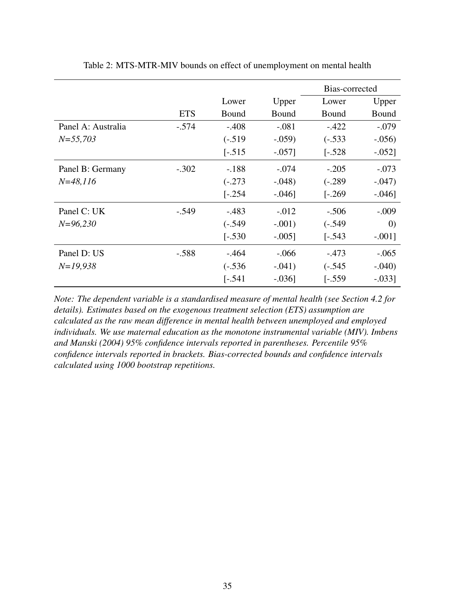|                    |            |           |          |           | Bias-corrected    |
|--------------------|------------|-----------|----------|-----------|-------------------|
|                    |            | Lower     | Upper    | Lower     | Upper             |
|                    | <b>ETS</b> | Bound     | Bound    | Bound     | Bound             |
| Panel A: Australia | $-.574$    | $-.408$   | $-.081$  | $-.422$   | $-.079$           |
| $N = 55,703$       |            | $(-.519)$ | $-.059)$ | $(-.533)$ | $-.056)$          |
|                    |            | $[-.515]$ | $-.057]$ | $[-.528]$ | $-.052]$          |
| Panel B: Germany   | $-.302$    | $-.188$   | $-.074$  | $-.205$   | $-.073$           |
| $N=48,116$         |            | $(-.273)$ | $-.048)$ | $(-.289)$ | $-.047)$          |
|                    |            | $[-.254]$ | $-.046]$ | $[-.269]$ | $-.046]$          |
| Panel C: UK        | $-.549$    | $-483$    | $-.012$  | $-.506$   | $-.009$           |
| $N=96,230$         |            | $(-.549)$ | $-.001)$ | $(-.549)$ | $\left( 0\right)$ |
|                    |            | $[-.530]$ | $-.005]$ | $[-.543]$ | $-.001]$          |
| Panel D: US        | $-.588$    | $-.464$   | $-.066$  | $-.473$   | $-.065$           |
| $N=19,938$         |            | $(-.536)$ | $-.041)$ | $(-.545)$ | $-.040)$          |
|                    |            | $[-.541]$ | $-.036]$ | $[-.559]$ | $-.033]$          |

Table 2: MTS-MTR-MIV bounds on effect of unemployment on mental health

*Note: The dependent variable is a standardised measure of mental health (see Section 4.2 for details). Estimates based on the exogenous treatment selection (ETS) assumption are calculated as the raw mean difference in mental health between unemployed and employed individuals. We use maternal education as the monotone instrumental variable (MIV). Imbens and Manski (2004) 95% confidence intervals reported in parentheses. Percentile 95% confidence intervals reported in brackets. Bias-corrected bounds and confidence intervals calculated using 1000 bootstrap repetitions.*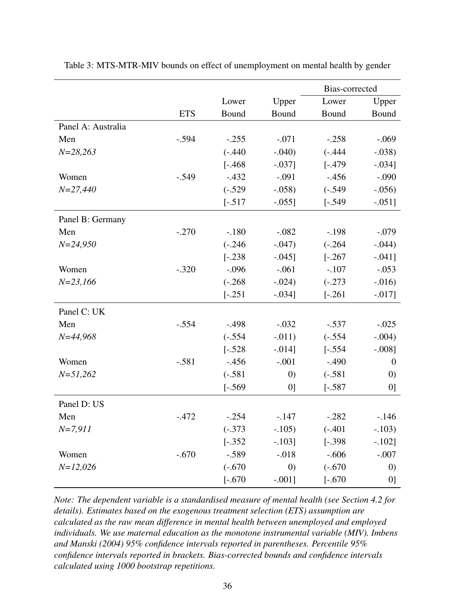|                    |            |           |                   | Bias-corrected |                   |
|--------------------|------------|-----------|-------------------|----------------|-------------------|
|                    |            | Lower     | Upper             | Lower          | Upper             |
|                    | <b>ETS</b> | Bound     | Bound             | Bound          | Bound             |
| Panel A: Australia |            |           |                   |                |                   |
| Men                | $-.594$    | $-.255$   | $-.071$           | $-.258$        | $-.069$           |
| $N=28,263$         |            | $(-.440)$ | $-.040)$          | $(-.444)$      | $-.038)$          |
|                    |            | $[-.468]$ | $-.037]$          | $[-.479]$      | $-.034]$          |
| Women              | $-.549$    | $-.432$   | $-.091$           | $-456$         | $-.090$           |
| $N = 27,440$       |            | $(-.529)$ | $-.058)$          | $(-.549)$      | $-.056)$          |
|                    |            | $[-.517]$ | $-.055]$          | $[-.549]$      | $-.051]$          |
| Panel B: Germany   |            |           |                   |                |                   |
| Men                | $-.270$    | $-.180$   | $-.082$           | $-.198$        | $-.079$           |
| $N = 24,950$       |            | $(-.246)$ | $-.047)$          | $(-.264)$      | $-.044)$          |
|                    |            | $[-.238]$ | $-.045]$          | $[-.267]$      | $-.041]$          |
| Women              | $-.320$    | $-.096$   | $-.061$           | $-.107$        | $-.053$           |
| $N=23,166$         |            | $(-.268)$ | $-.024)$          | $(-.273)$      | $-.016)$          |
|                    |            | $[-.251]$ | $-0.034]$         | $[-.261]$      | $-.017]$          |
| Panel C: UK        |            |           |                   |                |                   |
| Men                | $-.554$    | $-.498$   | $-.032$           | $-.537$        | $-.025$           |
| $N=44,968$         |            | $(-.554)$ | $-.011)$          | $(-.554)$      | $-.004)$          |
|                    |            | $[-.528]$ | $-0.014$ ]        | $[-.554]$      | $-.008]$          |
| Women              | $-.581$    | $-.456$   | $-.001$           | $-.490$        | $\boldsymbol{0}$  |
| $N = 51,262$       |            | $(-.581)$ | (0)               | $(-.581)$      | $\left( 0\right)$ |
|                    |            | $[-.569]$ | [0]               | $[-.587]$      | 0                 |
| Panel D: US        |            |           |                   |                |                   |
| Men                | $-.472$    | $-.254$   | $-147$            | $-.282$        | $-.146$           |
| $N=7,911$          |            | $(-.373)$ | $-.105)$          | $(-.401)$      | $-.103)$          |
|                    |            | $[-.352]$ | $-.103]$          | $[-.398]$      | $-.102]$          |
| Women              | $-.670$    | $-.589$   | $-.018$           | $-.606$        | $-.007$           |
| $N = 12,026$       |            | $(-.670)$ | $\left( 0\right)$ | $(-.670)$      | $\left( 0\right)$ |
|                    |            | $[-.670]$ | $-.001]$          | $[-.670]$      | 0]                |

Table 3: MTS-MTR-MIV bounds on effect of unemployment on mental health by gender

*Note: The dependent variable is a standardised measure of mental health (see Section 4.2 for details). Estimates based on the exogenous treatment selection (ETS) assumption are calculated as the raw mean difference in mental health between unemployed and employed individuals. We use maternal education as the monotone instrumental variable (MIV). Imbens and Manski (2004) 95% confidence intervals reported in parentheses. Percentile 95% confidence intervals reported in brackets. Bias-corrected bounds and confidence intervals calculated using 1000 bootstrap repetitions.*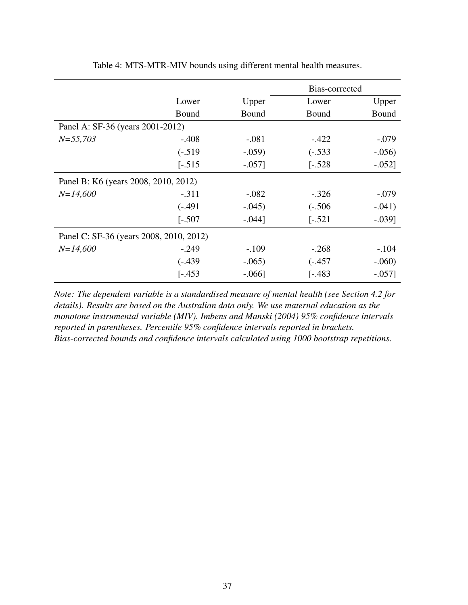|                                         |           |          | Bias-corrected |          |  |
|-----------------------------------------|-----------|----------|----------------|----------|--|
|                                         | Lower     | Upper    | Lower          | Upper    |  |
|                                         | Bound     | Bound    | Bound          | Bound    |  |
| Panel A: SF-36 (years 2001-2012)        |           |          |                |          |  |
| $N = 55,703$                            | $-.408$   | $-.081$  | $-.422$        | $-.079$  |  |
|                                         | $(-.519)$ | $-.059)$ | $(-.533)$      | $-.056)$ |  |
|                                         | $[-.515]$ | $-.057]$ | $[-.528]$      | $-.052]$ |  |
| Panel B: K6 (years 2008, 2010, 2012)    |           |          |                |          |  |
| $N = 14,600$                            | $-.311$   | $-.082$  | $-.326$        | $-.079$  |  |
|                                         | $(-.491)$ | $-.045)$ | $(-.506)$      | $-.041)$ |  |
|                                         | $[-.507]$ | $-.044]$ | $[-.521]$      | $-.039]$ |  |
| Panel C: SF-36 (years 2008, 2010, 2012) |           |          |                |          |  |
| $N = 14,600$                            | $-.249$   | $-.109$  | $-.268$        | $-.104$  |  |
|                                         | $(-.439)$ | $-.065)$ | $(-.457)$      | $-.060)$ |  |
|                                         | $[-.453]$ | $-.066]$ | $[-.483]$      | $-.057]$ |  |

Table 4: MTS-MTR-MIV bounds using different mental health measures.

*Note: The dependent variable is a standardised measure of mental health (see Section 4.2 for details). Results are based on the Australian data only. We use maternal education as the monotone instrumental variable (MIV). Imbens and Manski (2004) 95% confidence intervals reported in parentheses. Percentile 95% confidence intervals reported in brackets. Bias-corrected bounds and confidence intervals calculated using 1000 bootstrap repetitions.*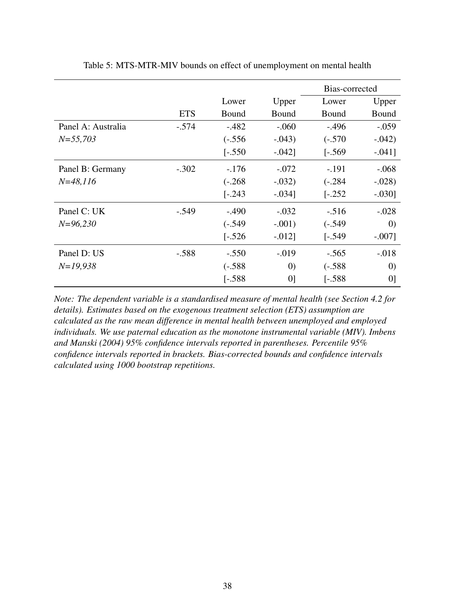|                    |            |           |                   |           | Bias-corrected    |
|--------------------|------------|-----------|-------------------|-----------|-------------------|
|                    |            | Lower     | Upper             | Lower     | Upper             |
|                    | <b>ETS</b> | Bound     | Bound             | Bound     | Bound             |
| Panel A: Australia | $-.574$    | $-.482$   | $-.060$           | $-.496$   | $-.059$           |
| $N = 55,703$       |            | $(-.556)$ | $-.043)$          | $(-.570)$ | $-.042)$          |
|                    |            | $[-.550]$ | $-042$ ]          | $[-.569]$ | $-.041]$          |
| Panel B: Germany   | $-.302$    | $-.176$   | $-.072$           | $-.191$   | $-.068$           |
| $N=48,116$         |            | $(-.268)$ | $-.032)$          | $(-.284)$ | $-.028)$          |
|                    |            | $[-.243]$ | $-.034]$          | $[-.252]$ | $-.030]$          |
| Panel C: UK        | $-.549$    | $-.490$   | $-.032$           | $-.516$   | $-.028$           |
| $N=96,230$         |            | $(-.549)$ | $-.001)$          | $(-.549)$ | (0)               |
|                    |            | $[-.526]$ | $-0.012$ ]        | $[-.549]$ | $-.007]$          |
| Panel D: US        | $-.588$    | $-.550$   | $-.019$           | $-.565$   | $-.018$           |
| $N=19,938$         |            | $(-.588)$ | $\left( 0\right)$ | $(-.588)$ | $\left( 0\right)$ |
|                    |            | $[-.588]$ | 0                 | $[-.588]$ | 0                 |

Table 5: MTS-MTR-MIV bounds on effect of unemployment on mental health

*Note: The dependent variable is a standardised measure of mental health (see Section 4.2 for details). Estimates based on the exogenous treatment selection (ETS) assumption are calculated as the raw mean difference in mental health between unemployed and employed individuals. We use paternal education as the monotone instrumental variable (MIV). Imbens and Manski (2004) 95% confidence intervals reported in parentheses. Percentile 95% confidence intervals reported in brackets. Bias-corrected bounds and confidence intervals calculated using 1000 bootstrap repetitions.*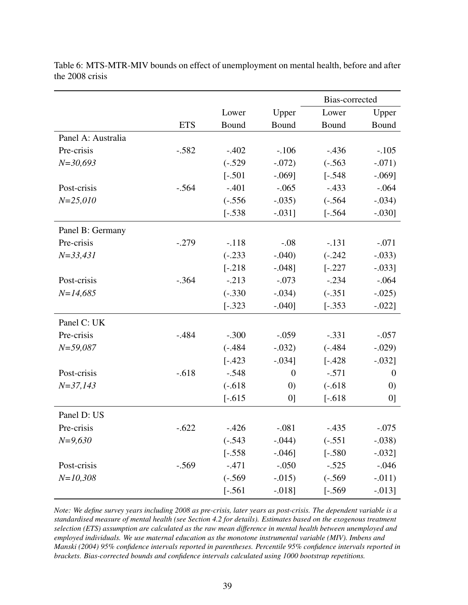|                    |            |           |                   | Bias-corrected |                   |
|--------------------|------------|-----------|-------------------|----------------|-------------------|
|                    |            | Lower     | Upper             | Lower          | Upper             |
|                    | <b>ETS</b> | Bound     | Bound             | Bound          | Bound             |
| Panel A: Australia |            |           |                   |                |                   |
| Pre-crisis         | $-.582$    | $-.402$   | $-.106$           | $-.436$        | $-.105$           |
| $N = 30,693$       |            | $(-.529)$ | $-.072)$          | $(-.563)$      | $-.071)$          |
|                    |            | $[-.501]$ | $-.069]$          | $[-.548]$      | $-.069]$          |
| Post-crisis        | $-.564$    | $-.401$   | $-.065$           | $-.433$        | $-.064$           |
| $N = 25,010$       |            | $(-.556)$ | $-.035)$          | $(-.564)$      | $-.034)$          |
|                    |            | $[-.538]$ | $-.031]$          | $[-.564]$      | $-.030]$          |
| Panel B: Germany   |            |           |                   |                |                   |
| Pre-crisis         | $-.279$    | $-.118$   | $-.08$            | $-.131$        | $-.071$           |
| $N = 33,431$       |            | $(-.233)$ | $-.040)$          | $(-.242)$      | $-.033)$          |
|                    |            | $[-.218]$ | $-.048]$          | $[-.227]$      | $-.033]$          |
| Post-crisis        | $-.364$    | $-.213$   | $-.073$           | $-.234$        | $-.064$           |
| $N = 14,685$       |            | $(-.330)$ | $-.034)$          | $(-.351)$      | $-.025)$          |
|                    |            | $[-.323]$ | $-.040]$          | $[-.353]$      | $-.022]$          |
| Panel C: UK        |            |           |                   |                |                   |
| Pre-crisis         | $-.484$    | $-.300$   | $-.059$           | $-.331$        | $-.057$           |
| $N = 59,087$       |            | $(-.484)$ | $-.032)$          | $(-.484)$      | $-.029)$          |
|                    |            | $[-.423]$ | $-.034]$          | $[-.428]$      | $-.032]$          |
| Post-crisis        | $-.618$    | $-.548$   | $\overline{0}$    | $-.571$        | $\mathbf{0}$      |
| $N = 37,143$       |            | $(-.618)$ | $\left( 0\right)$ | $(-.618)$      | $\left( 0\right)$ |
|                    |            | $[-.615]$ | $ 0\rangle$       | $[-.618]$      | 0 <sup>1</sup>    |
| Panel D: US        |            |           |                   |                |                   |
| Pre-crisis         | $-.622$    | $-.426$   | $-.081$           | $-.435$        | $-.075$           |
| $N=9,630$          |            | $(-.543)$ | $-.044)$          | $(-.551)$      | $-.038)$          |
|                    |            | $[-.558]$ | $-.046]$          | $[-.580]$      | $-.032]$          |
| Post-crisis        | $-.569$    | $-.471$   | $-.050$           | $-.525$        | $-.046$           |
| $N = 10,308$       |            | $(-.569)$ | $-0.015$          | $(-.569)$      | $-.011)$          |
|                    |            | $[-.561]$ | $-0.018$ ]        | $[-.569]$      | $-0.013]$         |

Table 6: MTS-MTR-MIV bounds on effect of unemployment on mental health, before and after the 2008 crisis

*Note: We define survey years including 2008 as pre-crisis, later years as post-crisis. The dependent variable is a standardised measure of mental health (see Section 4.2 for details). Estimates based on the exogenous treatment selection (ETS) assumption are calculated as the raw mean difference in mental health between unemployed and employed individuals. We use maternal education as the monotone instrumental variable (MIV). Imbens and Manski (2004) 95% confidence intervals reported in parentheses. Percentile 95% confidence intervals reported in brackets. Bias-corrected bounds and confidence intervals calculated using 1000 bootstrap repetitions.*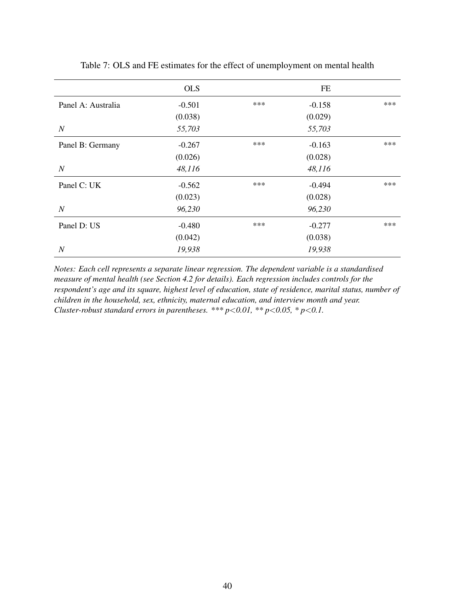|                    | <b>OLS</b> |     | <b>FE</b> |     |
|--------------------|------------|-----|-----------|-----|
| Panel A: Australia | $-0.501$   | *** | $-0.158$  | *** |
|                    | (0.038)    |     | (0.029)   |     |
| $\boldsymbol{N}$   | 55,703     |     | 55,703    |     |
| Panel B: Germany   | $-0.267$   | *** | $-0.163$  | *** |
|                    | (0.026)    |     | (0.028)   |     |
| $\boldsymbol{N}$   | 48,116     |     | 48,116    |     |
| Panel C: UK        | $-0.562$   | *** | $-0.494$  | *** |
|                    | (0.023)    |     | (0.028)   |     |
| $\overline{N}$     | 96,230     |     | 96,230    |     |
| Panel D: US        | $-0.480$   | *** | $-0.277$  | *** |
|                    | (0.042)    |     | (0.038)   |     |
| $\overline{N}$     | 19,938     |     | 19,938    |     |

Table 7: OLS and FE estimates for the effect of unemployment on mental health

*Notes: Each cell represents a separate linear regression. The dependent variable is a standardised measure of mental health (see Section 4.2 for details). Each regression includes controls for the respondent's age and its square, highest level of education, state of residence, marital status, number of children in the household, sex, ethnicity, maternal education, and interview month and year. Cluster-robust standard errors in parentheses. \*\*\* p*<*0.01, \*\* p*<*0.05, \* p*<*0.1.*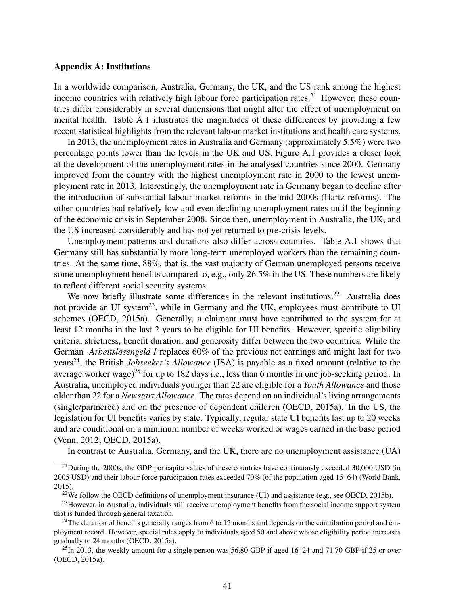## Appendix A: Institutions

In a worldwide comparison, Australia, Germany, the UK, and the US rank among the highest income countries with relatively high labour force participation rates.<sup>21</sup> However, these countries differ considerably in several dimensions that might alter the effect of unemployment on mental health. Table A.1 illustrates the magnitudes of these differences by providing a few recent statistical highlights from the relevant labour market institutions and health care systems.

In 2013, the unemployment rates in Australia and Germany (approximately 5.5%) were two percentage points lower than the levels in the UK and US. Figure A.1 provides a closer look at the development of the unemployment rates in the analysed countries since 2000. Germany improved from the country with the highest unemployment rate in 2000 to the lowest unemployment rate in 2013. Interestingly, the unemployment rate in Germany began to decline after the introduction of substantial labour market reforms in the mid-2000s (Hartz reforms). The other countries had relatively low and even declining unemployment rates until the beginning of the economic crisis in September 2008. Since then, unemployment in Australia, the UK, and the US increased considerably and has not yet returned to pre-crisis levels.

Unemployment patterns and durations also differ across countries. Table A.1 shows that Germany still has substantially more long-term unemployed workers than the remaining countries. At the same time, 88%, that is, the vast majority of German unemployed persons receive some unemployment benefits compared to, e.g., only 26.5% in the US. These numbers are likely to reflect different social security systems.

We now briefly illustrate some differences in the relevant institutions.<sup>22</sup> Australia does not provide an UI system<sup>23</sup>, while in Germany and the UK, employees must contribute to UI schemes (OECD, 2015a). Generally, a claimant must have contributed to the system for at least 12 months in the last 2 years to be eligible for UI benefits. However, specific eligibility criteria, strictness, benefit duration, and generosity differ between the two countries. While the German *Arbeitslosengeld I* replaces 60% of the previous net earnings and might last for two years<sup>24</sup>, the British *Jobseeker's Allowance* (JSA) is payable as a fixed amount (relative to the average worker wage)<sup>25</sup> for up to 182 days i.e., less than 6 months in one job-seeking period. In Australia, unemployed individuals younger than 22 are eligible for a *Youth Allowance* and those older than 22 for a *Newstart Allowance*. The rates depend on an individual's living arrangements (single/partnered) and on the presence of dependent children (OECD, 2015a). In the US, the legislation for UI benefits varies by state. Typically, regular state UI benefits last up to 20 weeks and are conditional on a minimum number of weeks worked or wages earned in the base period (Venn, 2012; OECD, 2015a).

In contrast to Australia, Germany, and the UK, there are no unemployment assistance (UA)

 $^{21}$ During the 2000s, the GDP per capita values of these countries have continuously exceeded 30,000 USD (in 2005 USD) and their labour force participation rates exceeded 70% (of the population aged 15–64) (World Bank, 2015).

 $22$  We follow the OECD definitions of unemployment insurance (UI) and assistance (e.g., see OECD, 2015b).

<sup>&</sup>lt;sup>23</sup>However, in Australia, individuals still receive unemployment benefits from the social income support system that is funded through general taxation.

<sup>&</sup>lt;sup>24</sup>The duration of benefits generally ranges from 6 to 12 months and depends on the contribution period and employment record. However, special rules apply to individuals aged 50 and above whose eligibility period increases gradually to 24 months (OECD, 2015a).

 $^{25}$ In 2013, the weekly amount for a single person was 56.80 GBP if aged 16–24 and 71.70 GBP if 25 or over (OECD, 2015a).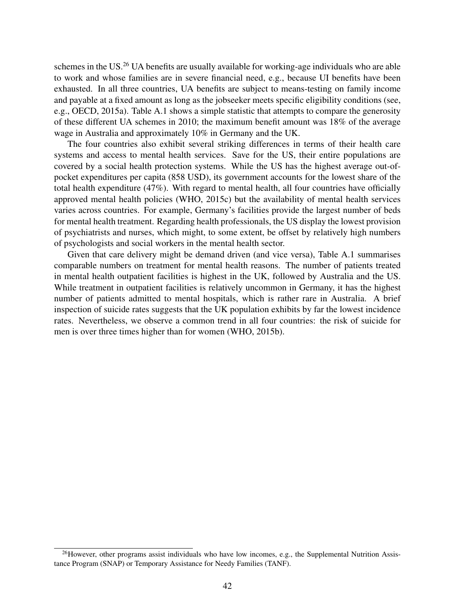schemes in the US.<sup>26</sup> UA benefits are usually available for working-age individuals who are able to work and whose families are in severe financial need, e.g., because UI benefits have been exhausted. In all three countries, UA benefits are subject to means-testing on family income and payable at a fixed amount as long as the jobseeker meets specific eligibility conditions (see, e.g., OECD, 2015a). Table A.1 shows a simple statistic that attempts to compare the generosity of these different UA schemes in 2010; the maximum benefit amount was 18% of the average wage in Australia and approximately 10% in Germany and the UK.

The four countries also exhibit several striking differences in terms of their health care systems and access to mental health services. Save for the US, their entire populations are covered by a social health protection systems. While the US has the highest average out-ofpocket expenditures per capita (858 USD), its government accounts for the lowest share of the total health expenditure (47%). With regard to mental health, all four countries have officially approved mental health policies (WHO, 2015c) but the availability of mental health services varies across countries. For example, Germany's facilities provide the largest number of beds for mental health treatment. Regarding health professionals, the US display the lowest provision of psychiatrists and nurses, which might, to some extent, be offset by relatively high numbers of psychologists and social workers in the mental health sector.

Given that care delivery might be demand driven (and vice versa), Table A.1 summarises comparable numbers on treatment for mental health reasons. The number of patients treated in mental health outpatient facilities is highest in the UK, followed by Australia and the US. While treatment in outpatient facilities is relatively uncommon in Germany, it has the highest number of patients admitted to mental hospitals, which is rather rare in Australia. A brief inspection of suicide rates suggests that the UK population exhibits by far the lowest incidence rates. Nevertheless, we observe a common trend in all four countries: the risk of suicide for men is over three times higher than for women (WHO, 2015b).

<sup>&</sup>lt;sup>26</sup>However, other programs assist individuals who have low incomes, e.g., the Supplemental Nutrition Assistance Program (SNAP) or Temporary Assistance for Needy Families (TANF).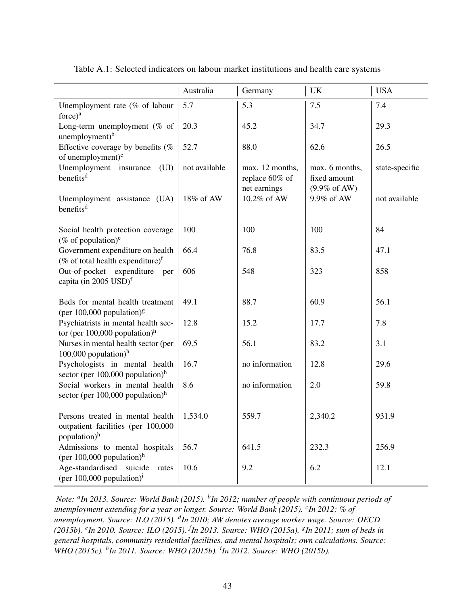|                                                                                                    | Australia     | Germany                           | UK                                    | <b>USA</b>     |
|----------------------------------------------------------------------------------------------------|---------------|-----------------------------------|---------------------------------------|----------------|
| Unemployment rate ( $%$ of labour<br>force) <sup>a</sup>                                           | 5.7           | 5.3                               | 7.5                                   | 7.4            |
| Long-term unemployment ( $%$ of<br>unemployment) $b$                                               | 20.3          | 45.2                              | 34.7                                  | 29.3           |
| Effective coverage by benefits $(\%$<br>of unemployment) <sup>c</sup>                              | 52.7          | 88.0                              | 62.6                                  | 26.5           |
| Unemployment insurance<br>(UI)<br>benefits <sup>d</sup>                                            | not available | max. 12 months,<br>replace 60% of | max. 6 months,<br>fixed amount        | state-specific |
| Unemployment assistance (UA)<br>benefits <sup>d</sup>                                              | 18% of AW     | net earnings<br>10.2% of AW       | $(9.9\% \text{ of AW})$<br>9.9% of AW | not available  |
| Social health protection coverage<br>(% of population) $e$                                         | 100           | 100                               | 100                                   | 84             |
| Government expenditure on health<br>(% of total health expenditure) <sup>f</sup>                   | 66.4          | 76.8                              | 83.5                                  | 47.1           |
| Out-of-pocket expenditure<br>per<br>capita (in 2005 $USDf$                                         | 606           | 548                               | 323                                   | 858            |
| Beds for mental health treatment<br>(per 100,000 population) <sup>g</sup>                          | 49.1          | 88.7                              | 60.9                                  | 56.1           |
| Psychiatrists in mental health sec-<br>tor (per 100,000 population) <sup>h</sup>                   | 12.8          | 15.2                              | 17.7                                  | 7.8            |
| Nurses in mental health sector (per<br>100,000 population) $^h$                                    | 69.5          | 56.1                              | 83.2                                  | 3.1            |
| Psychologists in mental health<br>sector (per 100,000 population) $^h$                             | 16.7          | no information                    | 12.8                                  | 29.6           |
| Social workers in mental health<br>sector (per 100,000 population) $^h$                            | 8.6           | no information                    | 2.0                                   | 59.8           |
| Persons treated in mental health<br>outpatient facilities (per 100,000<br>population) <sup>h</sup> | 1,534.0       | 559.7                             | 2,340.2                               | 931.9          |
| Admissions to mental hospitals<br>(per 100,000 population) <sup>h</sup>                            | 56.7          | 641.5                             | 232.3                                 | 256.9          |
| Age-standardised suicide<br>rates<br>(per 100,000 population) <sup>i</sup>                         | 10.6          | 9.2                               | 6.2                                   | 12.1           |

Table A.1: Selected indicators on labour market institutions and health care systems

*Note: <sup>a</sup> In 2013. Source: World Bank (2015). <sup>b</sup> In 2012; number of people with continuous periods of unemployment extending for a year or longer. Source: World Bank (2015). <sup>c</sup> In 2012; % of unemployment. Source: ILO (2015). <sup>d</sup> In 2010; AW denotes average worker wage. Source: OECD (2015b). <sup>e</sup> In 2010. Source: ILO (2015). <sup>f</sup> In 2013. Source: WHO (2015a). <sup>g</sup> In 2011; sum of beds in general hospitals, community residential facilities, and mental hospitals; own calculations. Source: WHO (2015c). <sup>h</sup> In 2011. Source: WHO (2015b). <sup>i</sup> In 2012. Source: WHO (2015b).*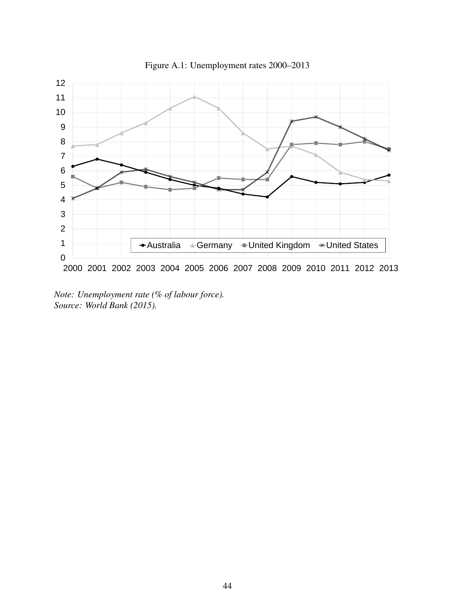

Figure A.1: Unemployment rates 2000–2013

*Note: Unemployment rate (% of labour force). Source: World Bank (2015).*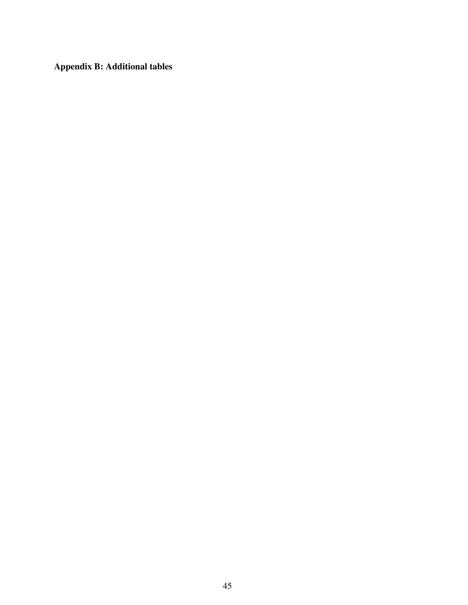Appendix B: Additional tables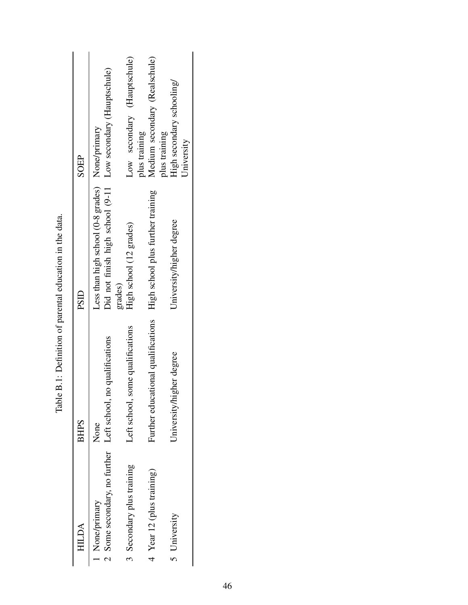| 1 None/primary<br><b>HILDA</b>                           | 2 Some secondary, no further Left school, no qualifications<br><b>BHIPS</b><br>None | Did not finish high school (9-11 Low secondary (Hauptschule)<br>Less than high school (0-8 grades) None/primary<br>grades)<br>PSID | SOEP                                                                          |
|----------------------------------------------------------|-------------------------------------------------------------------------------------|------------------------------------------------------------------------------------------------------------------------------------|-------------------------------------------------------------------------------|
| 3 Secondary plus training<br>$4$ Year 12 (plus training) | Further educational qualifications<br>Left school, some qualifications              | High school plus further training<br>High school (12 grades)                                                                       | Low secondary (Hauptschule)<br>Medium secondary (Realschule)<br>plus training |
| 5 University                                             | University/higher degree                                                            | University/higher degree                                                                                                           | High secondary schooling/<br>plus training<br>Jniversity                      |

Table B.1: Definition of parental education in the data. Table B.1: Definition of parental education in the data.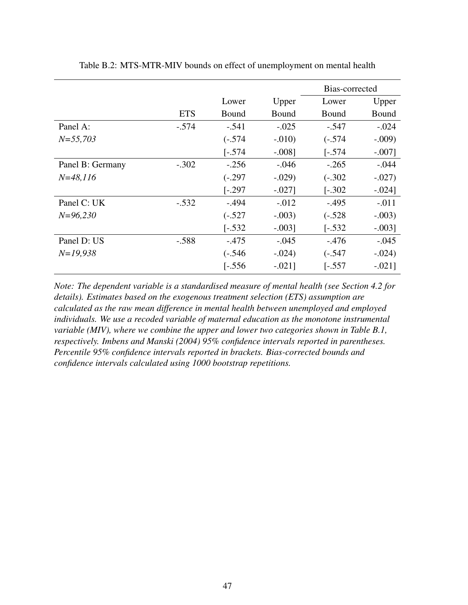|                  |            |           |          |           | Bias-corrected |
|------------------|------------|-----------|----------|-----------|----------------|
|                  |            | Lower     | Upper    | Lower     | Upper          |
|                  | <b>ETS</b> | Bound     | Bound    | Bound     | Bound          |
| Panel A:         | $-.574$    | $-.541$   | $-.025$  | $-.547$   | $-.024$        |
| $N = 55,703$     |            | $(-.574)$ | $-.010)$ | $(-.574)$ | $-.009$        |
|                  |            | $[-.574]$ | $-.008]$ | $[-.574]$ | $-.007]$       |
| Panel B: Germany | $-.302$    | $-.256$   | $-.046$  | $-.265$   | $-.044$        |
| $N=48,116$       |            | $(-.297)$ | $-.029)$ | $(-.302)$ | $-.027)$       |
|                  |            | $[-.297]$ | $-.027]$ | $[-.302]$ | $-.024]$       |
| Panel C: UK      | $-.532$    | $-.494$   | $-0.012$ | $-.495$   | $-.011$        |
| $N=96,230$       |            | $(-.527)$ | $-.003)$ | $(-.528)$ | $-.003)$       |
|                  |            | $[-.532]$ | $-.003]$ | $[-.532]$ | $-.003]$       |
| Panel D: US      | $-.588$    | $-.475$   | $-.045$  | $-.476$   | $-.045$        |
| $N=19,938$       |            | $(-.546)$ | $-.024)$ | $(-.547)$ | $-.024)$       |
|                  |            | $[-.556]$ | $-.021]$ | $[-.557]$ | $-.021]$       |

Table B.2: MTS-MTR-MIV bounds on effect of unemployment on mental health

*Note: The dependent variable is a standardised measure of mental health (see Section 4.2 for details). Estimates based on the exogenous treatment selection (ETS) assumption are calculated as the raw mean difference in mental health between unemployed and employed individuals. We use a recoded variable of maternal education as the monotone instrumental variable (MIV), where we combine the upper and lower two categories shown in Table B.1, respectively. Imbens and Manski (2004) 95% confidence intervals reported in parentheses. Percentile 95% confidence intervals reported in brackets. Bias-corrected bounds and confidence intervals calculated using 1000 bootstrap repetitions.*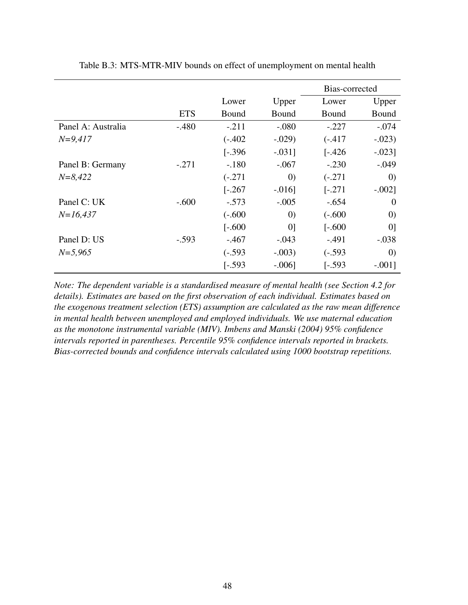|                    |            |           |                   |           | Bias-corrected    |
|--------------------|------------|-----------|-------------------|-----------|-------------------|
|                    |            | Lower     | Upper             | Lower     | Upper             |
|                    | <b>ETS</b> | Bound     | Bound             | Bound     | Bound             |
| Panel A: Australia | $-.480$    | $-.211$   | $-.080$           | $-.227$   | $-.074$           |
| $N=9,417$          |            | $(-.402)$ | $-.029)$          | $(-.417)$ | $-.023)$          |
|                    |            | $[-.396]$ | $-.031]$          | $[-.426]$ | $-.023]$          |
| Panel B: Germany   | $-.271$    | $-.180$   | $-.067$           | $-.230$   | $-.049$           |
| $N = 8,422$        |            | $(-.271)$ | $\left( 0\right)$ | $(-.271)$ | $\left( 0\right)$ |
|                    |            | $[-.267]$ | $-0.016$ ]        | $[-.271]$ | $-.002]$          |
| Panel C: UK        | $-.600$    | $-.573$   | $-.005$           | $-.654$   | $\Omega$          |
| $N = 16,437$       |            | $(-.600)$ | $\left( 0\right)$ | $(-.600)$ | $\left( 0\right)$ |
|                    |            | $[-.600]$ | 0 <sup>1</sup>    | $[-.600]$ | $\overline{0}$    |
| Panel D: US        | $-.593$    | $-.467$   | $-.043$           | $-.491$   | $-.038$           |
| $N=5,965$          |            | $(-.593)$ | $-.003)$          | $(-.593)$ | $\left( 0\right)$ |
|                    |            | $[-.593]$ | $-.006]$          | $[-.593]$ | $-.001]$          |

Table B.3: MTS-MTR-MIV bounds on effect of unemployment on mental health

*Note: The dependent variable is a standardised measure of mental health (see Section 4.2 for details). Estimates are based on the first observation of each individual. Estimates based on the exogenous treatment selection (ETS) assumption are calculated as the raw mean difference in mental health between unemployed and employed individuals. We use maternal education as the monotone instrumental variable (MIV). Imbens and Manski (2004) 95% confidence intervals reported in parentheses. Percentile 95% confidence intervals reported in brackets. Bias-corrected bounds and confidence intervals calculated using 1000 bootstrap repetitions.*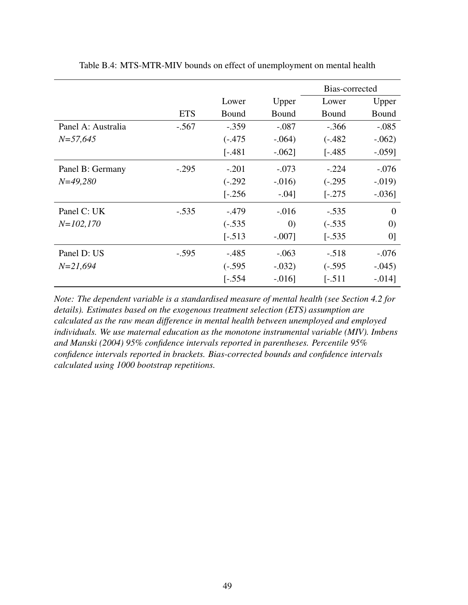|                    |            |           |            |           | Bias-corrected    |
|--------------------|------------|-----------|------------|-----------|-------------------|
|                    |            | Lower     | Upper      | Lower     | Upper             |
|                    | <b>ETS</b> | Bound     | Bound      | Bound     | Bound             |
| Panel A: Australia | $-.567$    | $-.359$   | $-.087$    | $-.366$   | $-.085$           |
| $N = 57,645$       |            | $(-.475)$ | $-.064)$   | $(-.482)$ | $-.062)$          |
|                    |            | $[-.481]$ | $-.062]$   | $[-.485]$ | $-.059]$          |
| Panel B: Germany   | $-.295$    | $-.201$   | $-.073$    | $-.224$   | $-.076$           |
| $N=49,280$         |            | $(-.292)$ | $-0.016$   | $(-.295)$ | $-.019)$          |
|                    |            | $[-.256]$ | $-.04]$    | $[-.275]$ | $-.036]$          |
| Panel C: UK        | $-.535$    | $-.479$   | $-.016$    | $-.535$   | $\theta$          |
| $N=102,170$        |            | $(-.535)$ | (0)        | $(-.535)$ | $\left( 0\right)$ |
|                    |            | $[-.513]$ | $-.007]$   | $[-.535]$ | 0                 |
| Panel D: US        | $-.595$    | $-.485$   | $-.063$    | $-.518$   | $-.076$           |
| $N=21,694$         |            | $(-.595)$ | $-.032)$   | $(-.595)$ | $-.045)$          |
|                    |            | $[-.554]$ | $-0.016$ ] | $[-.511]$ | $-0.014$ ]        |

Table B.4: MTS-MTR-MIV bounds on effect of unemployment on mental health

*Note: The dependent variable is a standardised measure of mental health (see Section 4.2 for details). Estimates based on the exogenous treatment selection (ETS) assumption are calculated as the raw mean difference in mental health between unemployed and employed individuals. We use maternal education as the monotone instrumental variable (MIV). Imbens and Manski (2004) 95% confidence intervals reported in parentheses. Percentile 95% confidence intervals reported in brackets. Bias-corrected bounds and confidence intervals calculated using 1000 bootstrap repetitions.*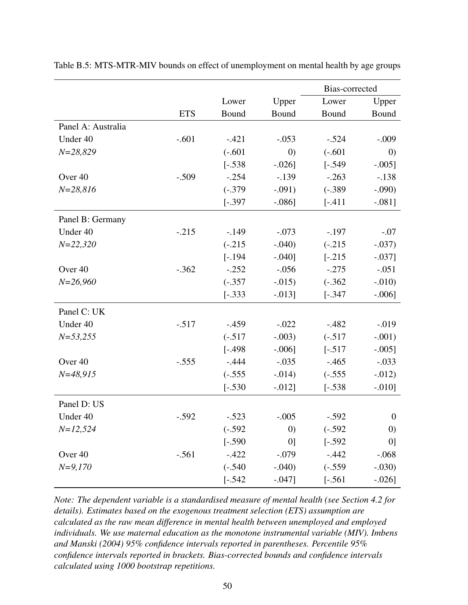|                    |            |           |                   | Bias-corrected |                   |
|--------------------|------------|-----------|-------------------|----------------|-------------------|
|                    |            | Lower     | Upper             | Lower          | Upper             |
|                    | <b>ETS</b> | Bound     | Bound             | Bound          | Bound             |
| Panel A: Australia |            |           |                   |                |                   |
| Under 40           | $-.601$    | $-.421$   | $-.053$           | $-.524$        | $-.009$           |
| $N = 28,829$       |            | $(-.601)$ | (0)               | $(-.601)$      | $\left( 0\right)$ |
|                    |            | $[-.538]$ | $-.026]$          | $[-.549]$      | $-.005]$          |
| Over 40            | $-.509$    | $-.254$   | $-.139$           | $-.263$        | $-.138$           |
| $N = 28,816$       |            | $(-.379)$ | $-.091)$          | $(-.389)$      | $-.090)$          |
|                    |            | $[-.397]$ | $-.086]$          | $[-.411]$      | $-.081]$          |
| Panel B: Germany   |            |           |                   |                |                   |
| Under 40           | $-.215$    | $-.149$   | $-.073$           | $-.197$        | $-.07$            |
| $N = 22,320$       |            | $(-.215)$ | $-.040)$          | $(-.215)$      | $-.037)$          |
|                    |            | $[-.194]$ | $-.040]$          | $[-.215]$      | $-.037]$          |
| Over 40            | $-.362$    | $-.252$   | $-.056$           | $-.275$        | $-.051$           |
| $N = 26,960$       |            | $(-.357)$ | $-0.015$          | $(-.362)$      | $-.010)$          |
|                    |            | $[-.333]$ | $-0.013$ ]        | $[-.347]$      | $-.006]$          |
| Panel C: UK        |            |           |                   |                |                   |
| Under 40           | $-.517$    | $-.459$   | $-.022$           | $-.482$        | $-.019$           |
| $N = 53,255$       |            | $(-.517)$ | $-.003)$          | $(-.517)$      | $-.001)$          |
|                    |            | $[-.498]$ | $-.006]$          | $[-.517]$      | $-.005]$          |
| Over 40            | $-.555$    | $-.444$   | $-.035$           | $-.465$        | $-.033$           |
| $N=48,915$         |            | $(-.555)$ | $-0.014)$         | $(-.555)$      | $-.012)$          |
|                    |            | $[-.530]$ | $-012$ ]          | $[-.538]$      | $-.010]$          |
| Panel D: US        |            |           |                   |                |                   |
| Under 40           | $-.592$    | $-.523$   | $-.005$           | $-.592$        | $\boldsymbol{0}$  |
| $N=12,524$         |            | $(-.592)$ | $\left( 0\right)$ | $(-.592)$      | $\left( 0\right)$ |
|                    |            | $[-.590]$ | 0 <sup>1</sup>    | $[-.592]$      | [0]               |
| Over 40            | $-.561$    | $-.422$   | $-.079$           | $-.442$        | $-.068$           |
| $N=9,170$          |            | $(-.540)$ | $-.040)$          | $(-.559)$      | $-.030)$          |
|                    |            | $[-.542]$ | $-047$ ]          | $[-.561]$      | $-.026]$          |

Table B.5: MTS-MTR-MIV bounds on effect of unemployment on mental health by age groups

*Note: The dependent variable is a standardised measure of mental health (see Section 4.2 for details). Estimates based on the exogenous treatment selection (ETS) assumption are calculated as the raw mean difference in mental health between unemployed and employed individuals. We use maternal education as the monotone instrumental variable (MIV). Imbens and Manski (2004) 95% confidence intervals reported in parentheses. Percentile 95% confidence intervals reported in brackets. Bias-corrected bounds and confidence intervals calculated using 1000 bootstrap repetitions.*